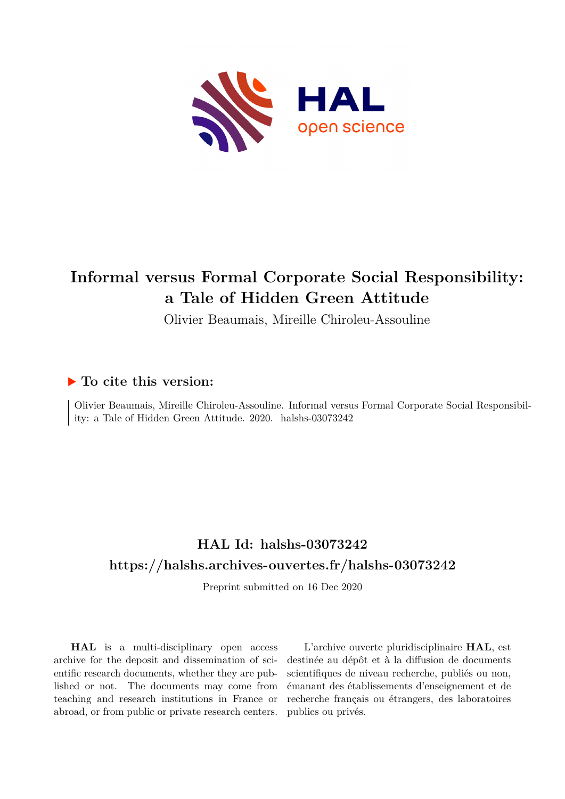

# **Informal versus Formal Corporate Social Responsibility: a Tale of Hidden Green Attitude**

Olivier Beaumais, Mireille Chiroleu-Assouline

## **To cite this version:**

Olivier Beaumais, Mireille Chiroleu-Assouline. Informal versus Formal Corporate Social Responsibility: a Tale of Hidden Green Attitude. 2020. halshs-03073242

# **HAL Id: halshs-03073242 <https://halshs.archives-ouvertes.fr/halshs-03073242>**

Preprint submitted on 16 Dec 2020

**HAL** is a multi-disciplinary open access archive for the deposit and dissemination of scientific research documents, whether they are published or not. The documents may come from teaching and research institutions in France or abroad, or from public or private research centers.

L'archive ouverte pluridisciplinaire **HAL**, est destinée au dépôt et à la diffusion de documents scientifiques de niveau recherche, publiés ou non, émanant des établissements d'enseignement et de recherche français ou étrangers, des laboratoires publics ou privés.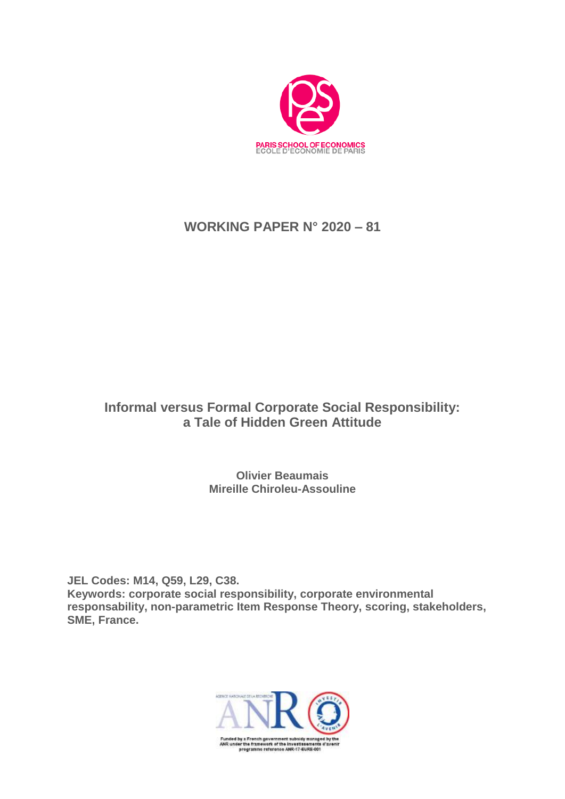

# **WORKING PAPER N° 2020 – 81**

# **Informal versus Formal Corporate Social Responsibility: a Tale of Hidden Green Attitude**

**Olivier Beaumais Mireille Chiroleu-Assouline**

**JEL Codes: M14, Q59, L29, C38. Keywords: corporate social responsibility, corporate environmental responsability, non-parametric Item Response Theory, scoring, stakeholders, SME, France.**

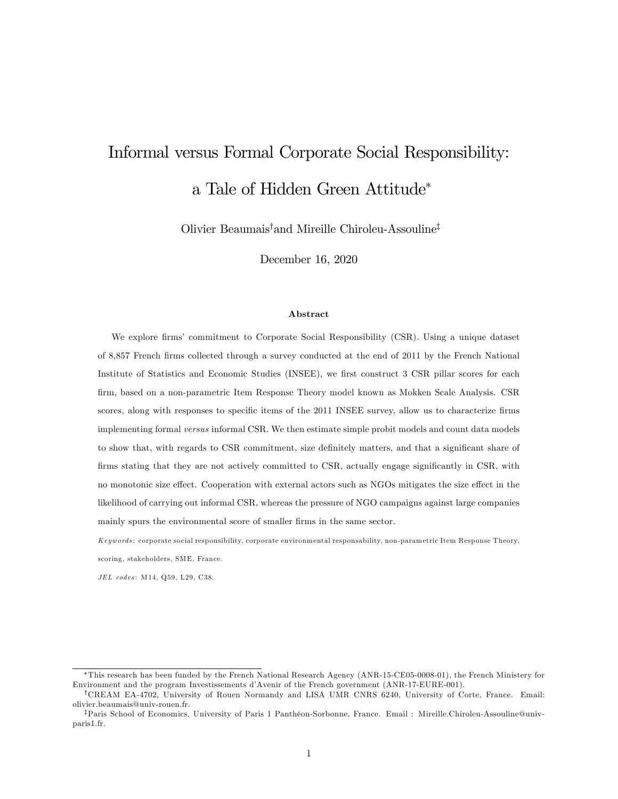# Informal versus Formal Corporate Social Responsibility: a Tale of Hidden Green Attitude

Olivier Beaumais<sup>†</sup> and Mireille Chiroleu-Assouline<sup>‡</sup>

December 16, 2020

#### Abstract

We explore firms' commitment to Corporate Social Responsibility (CSR). Using a unique dataset of 8,857 French Örms collected through a survey conducted at the end of 2011 by the French National Institute of Statistics and Economic Studies (INSEE), we first construct 3 CSR pillar scores for each Örm, based on a non-parametric Item Response Theory model known as Mokken Scale Analysis. CSR scores, along with responses to specific items of the 2011 INSEE survey, allow us to characterize firms implementing formal versus informal CSR. We then estimate simple probit models and count data models to show that, with regards to CSR commitment, size definitely matters, and that a significant share of firms stating that they are not actively committed to CSR, actually engage significantly in CSR, with no monotonic size effect. Cooperation with external actors such as NGOs mitigates the size effect in the likelihood of carrying out informal CSR, whereas the pressure of NGO campaigns against large companies mainly spurs the environmental score of smaller firms in the same sector.

Keywords: corporate social responsibility, corporate environmental responsability, non-parametric Item Response Theory, scoring, stakeholders, SME, France.

JEL codes: M14, Q59, L29, C38.

This research has been funded by the French National Research Agency (ANR-15-CE05-0008-01), the French Ministery for Environment and the program Investissements díAvenir of the French government (ANR-17-EURE-001).

<sup>&</sup>lt;sup>†</sup>CREAM EA-4702, University of Rouen Normandy and LISA UMR CNRS 6240, University of Corte, France. Email: olivier.beaumais@univ-rouen.fr.

<sup>&</sup>lt;sup>‡</sup>Paris School of Economics, University of Paris 1 Panthéon-Sorbonne, France. Email : Mireille.Chiroleu-Assouline@univparis1.fr.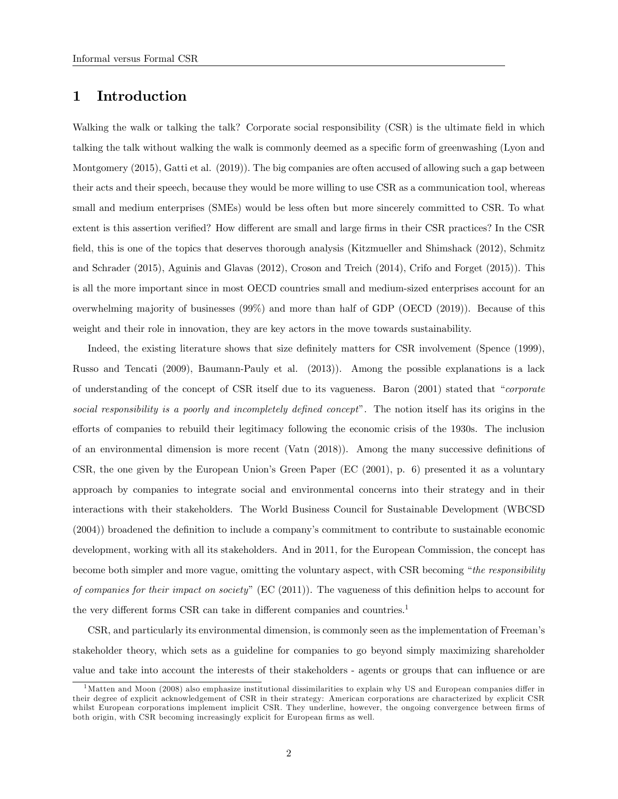## 1 Introduction

Walking the walk or talking the talk? Corporate social responsibility (CSR) is the ultimate field in which talking the talk without walking the walk is commonly deemed as a specific form of greenwashing (Lyon and Montgomery (2015), Gatti et al. (2019)). The big companies are often accused of allowing such a gap between their acts and their speech, because they would be more willing to use CSR as a communication tool, whereas small and medium enterprises (SMEs) would be less often but more sincerely committed to CSR. To what extent is this assertion verified? How different are small and large firms in their CSR practices? In the CSR field, this is one of the topics that deserves thorough analysis (Kitzmueller and Shimshack (2012), Schmitz and Schrader (2015), Aguinis and Glavas (2012), Croson and Treich (2014), Crifo and Forget (2015)). This is all the more important since in most OECD countries small and medium-sized enterprises account for an overwhelming majority of businesses (99%) and more than half of GDP (OECD (2019)). Because of this weight and their role in innovation, they are key actors in the move towards sustainability.

Indeed, the existing literature shows that size definitely matters for CSR involvement (Spence (1999), Russo and Tencati (2009), Baumann-Pauly et al. (2013)). Among the possible explanations is a lack of understanding of the concept of CSR itself due to its vagueness. Baron  $(2001)$  stated that "corporate social responsibility is a poorly and incompletely defined concept". The notion itself has its origins in the efforts of companies to rebuild their legitimacy following the economic crisis of the 1930s. The inclusion of an environmental dimension is more recent (Vatn  $(2018)$ ). Among the many successive definitions of CSR, the one given by the European Union's Green Paper (EC (2001), p. 6) presented it as a voluntary approach by companies to integrate social and environmental concerns into their strategy and in their interactions with their stakeholders. The World Business Council for Sustainable Development (WBCSD  $(2004)$ ) broadened the definition to include a company's commitment to contribute to sustainable economic development, working with all its stakeholders. And in 2011, for the European Commission, the concept has become both simpler and more vague, omitting the voluntary aspect, with CSR becoming "the responsibility of companies for their impact on society" (EC (2011)). The vagueness of this definition helps to account for the very different forms CSR can take in different companies and countries.<sup>1</sup>

CSR, and particularly its environmental dimension, is commonly seen as the implementation of Freemanís stakeholder theory, which sets as a guideline for companies to go beyond simply maximizing shareholder value and take into account the interests of their stakeholders - agents or groups that can influence or are

 $<sup>1</sup>$ Matten and Moon (2008) also emphasize institutional dissimilarities to explain why US and European companies differ in</sup> their degree of explicit acknowledgement of CSR in their strategy: American corporations are characterized by explicit CSR whilst European corporations implement implicit CSR. They underline, however, the ongoing convergence between firms of both origin, with CSR becoming increasingly explicit for European firms as well.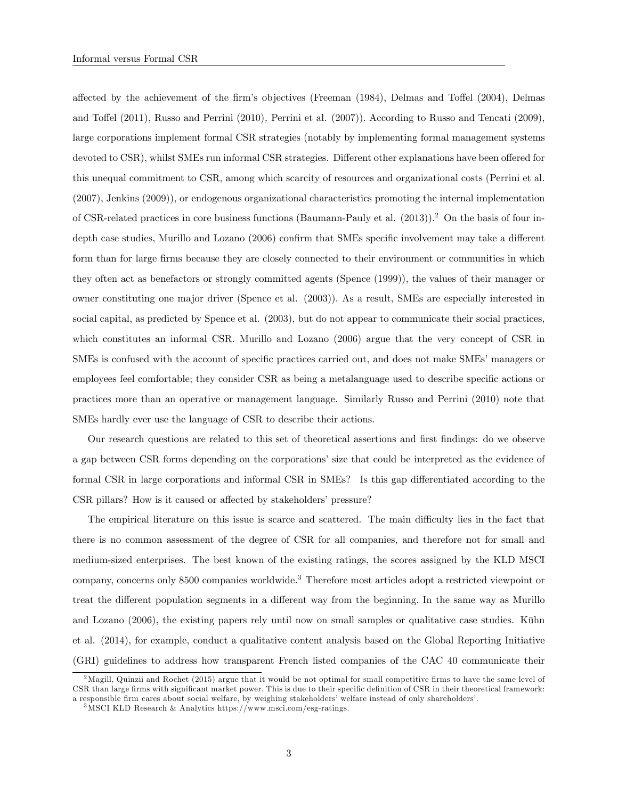affected by the achievement of the firm's objectives (Freeman (1984), Delmas and Toffel (2004), Delmas and Toffel (2011), Russo and Perrini (2010), Perrini et al. (2007)). According to Russo and Tencati (2009), large corporations implement formal CSR strategies (notably by implementing formal management systems devoted to CSR), whilst SMEs run informal CSR strategies. Different other explanations have been offered for this unequal commitment to CSR, among which scarcity of resources and organizational costs (Perrini et al. (2007), Jenkins (2009)), or endogenous organizational characteristics promoting the internal implementation of CSR-related practices in core business functions (Baumann-Pauly et al. (2013)).<sup>2</sup> On the basis of four indepth case studies, Murillo and Lozano (2006) confirm that SMEs specific involvement may take a different form than for large firms because they are closely connected to their environment or communities in which they often act as benefactors or strongly committed agents (Spence (1999)), the values of their manager or owner constituting one major driver (Spence et al. (2003)). As a result, SMEs are especially interested in social capital, as predicted by Spence et al. (2003), but do not appear to communicate their social practices, which constitutes an informal CSR. Murillo and Lozano (2006) argue that the very concept of CSR in SMEs is confused with the account of specific practices carried out, and does not make SMEs' managers or employees feel comfortable; they consider CSR as being a metalanguage used to describe specific actions or practices more than an operative or management language. Similarly Russo and Perrini (2010) note that SMEs hardly ever use the language of CSR to describe their actions.

Our research questions are related to this set of theoretical assertions and first findings: do we observe a gap between CSR forms depending on the corporations' size that could be interpreted as the evidence of formal CSR in large corporations and informal CSR in SMEs? Is this gap differentiated according to the CSR pillars? How is it caused or affected by stakeholders' pressure?

The empirical literature on this issue is scarce and scattered. The main difficulty lies in the fact that there is no common assessment of the degree of CSR for all companies, and therefore not for small and medium-sized enterprises. The best known of the existing ratings, the scores assigned by the KLD MSCI company, concerns only 8500 companies worldwide.<sup>3</sup> Therefore most articles adopt a restricted viewpoint or treat the different population segments in a different way from the beginning. In the same way as Murillo and Lozano (2006), the existing papers rely until now on small samples or qualitative case studies. Kühn et al. (2014), for example, conduct a qualitative content analysis based on the Global Reporting Initiative (GRI) guidelines to address how transparent French listed companies of the CAC 40 communicate their

<sup>&</sup>lt;sup>2</sup>Magill, Quinzii and Rochet (2015) argue that it would be not optimal for small competitive firms to have the same level of CSR than large firms with significant market power. This is due to their specific definition of CSR in their theoretical framework: a responsible firm cares about social welfare, by weighing stakeholders' welfare instead of only shareholders'.

<sup>3</sup>MSCI KLD Research & Analytics https://www.msci.com/esg-ratings.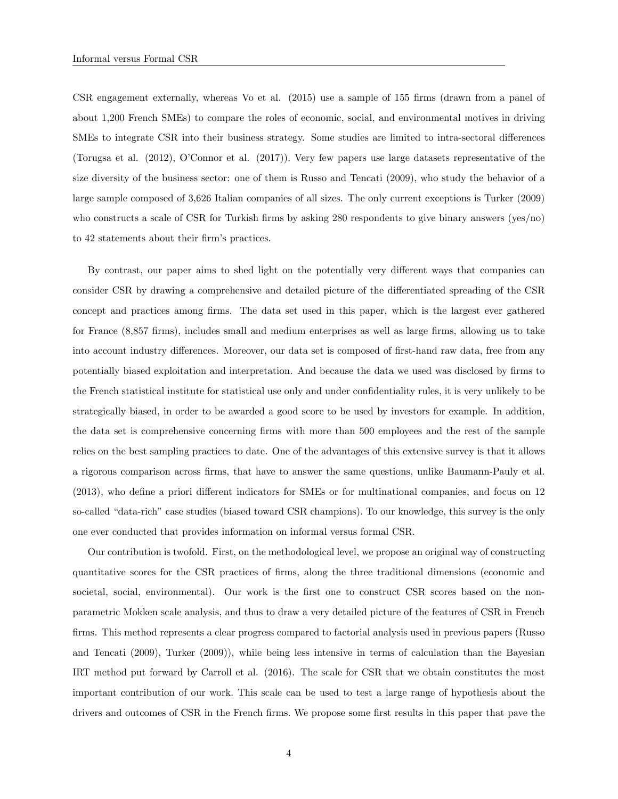CSR engagement externally, whereas Vo et al. (2015) use a sample of 155 firms (drawn from a panel of about 1,200 French SMEs) to compare the roles of economic, social, and environmental motives in driving SMEs to integrate CSR into their business strategy. Some studies are limited to intra-sectoral differences (Torugsa et al.  $(2012)$ , O'Connor et al.  $(2017)$ ). Very few papers use large datasets representative of the size diversity of the business sector: one of them is Russo and Tencati (2009), who study the behavior of a large sample composed of 3,626 Italian companies of all sizes. The only current exceptions is Turker (2009) who constructs a scale of CSR for Turkish firms by asking 280 respondents to give binary answers (yes/no) to 42 statements about their firm's practices.

By contrast, our paper aims to shed light on the potentially very different ways that companies can consider CSR by drawing a comprehensive and detailed picture of the differentiated spreading of the CSR concept and practices among firms. The data set used in this paper, which is the largest ever gathered for France (8,857 firms), includes small and medium enterprises as well as large firms, allowing us to take into account industry differences. Moreover, our data set is composed of first-hand raw data, free from any potentially biased exploitation and interpretation. And because the data we used was disclosed by Örms to the French statistical institute for statistical use only and under confidentiality rules, it is very unlikely to be strategically biased, in order to be awarded a good score to be used by investors for example. In addition, the data set is comprehensive concerning firms with more than 500 employees and the rest of the sample relies on the best sampling practices to date. One of the advantages of this extensive survey is that it allows a rigorous comparison across Örms, that have to answer the same questions, unlike Baumann-Pauly et al.  $(2013)$ , who define a priori different indicators for SMEs or for multinational companies, and focus on 12 so-called "data-rich" case studies (biased toward CSR champions). To our knowledge, this survey is the only one ever conducted that provides information on informal versus formal CSR.

Our contribution is twofold. First, on the methodological level, we propose an original way of constructing quantitative scores for the CSR practices of Örms, along the three traditional dimensions (economic and societal, social, environmental). Our work is the first one to construct CSR scores based on the nonparametric Mokken scale analysis, and thus to draw a very detailed picture of the features of CSR in French firms. This method represents a clear progress compared to factorial analysis used in previous papers (Russo and Tencati (2009), Turker (2009)), while being less intensive in terms of calculation than the Bayesian IRT method put forward by Carroll et al. (2016). The scale for CSR that we obtain constitutes the most important contribution of our work. This scale can be used to test a large range of hypothesis about the drivers and outcomes of CSR in the French firms. We propose some first results in this paper that pave the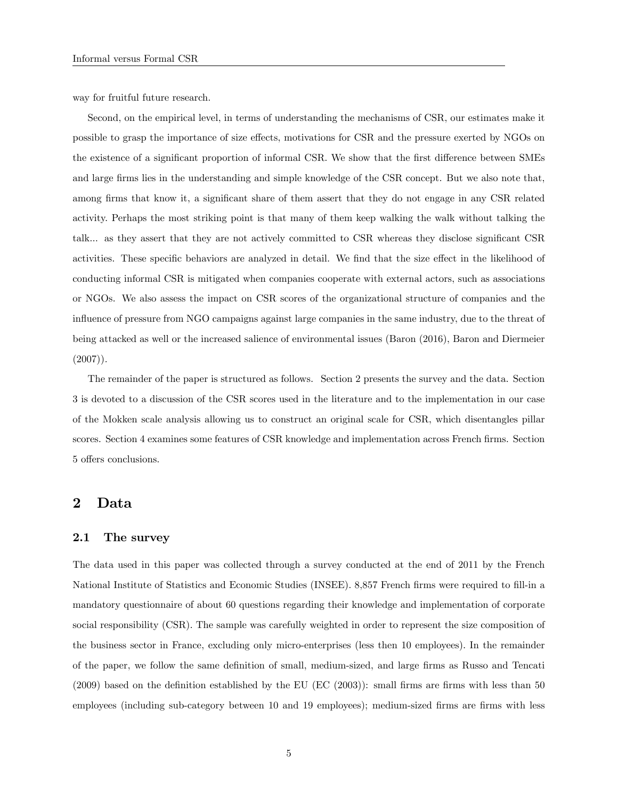way for fruitful future research.

Second, on the empirical level, in terms of understanding the mechanisms of CSR, our estimates make it possible to grasp the importance of size effects, motivations for CSR and the pressure exerted by NGOs on the existence of a significant proportion of informal CSR. We show that the first difference between SMEs and large firms lies in the understanding and simple knowledge of the CSR concept. But we also note that, among firms that know it, a significant share of them assert that they do not engage in any CSR related activity. Perhaps the most striking point is that many of them keep walking the walk without talking the talk... as they assert that they are not actively committed to CSR whereas they disclose significant CSR activities. These specific behaviors are analyzed in detail. We find that the size effect in the likelihood of conducting informal CSR is mitigated when companies cooperate with external actors, such as associations or NGOs. We also assess the impact on CSR scores of the organizational structure of companies and the influence of pressure from NGO campaigns against large companies in the same industry, due to the threat of being attacked as well or the increased salience of environmental issues (Baron (2016), Baron and Diermeier  $(2007)$ .

The remainder of the paper is structured as follows. Section 2 presents the survey and the data. Section 3 is devoted to a discussion of the CSR scores used in the literature and to the implementation in our case of the Mokken scale analysis allowing us to construct an original scale for CSR, which disentangles pillar scores. Section 4 examines some features of CSR knowledge and implementation across French firms. Section 5 offers conclusions.

## 2 Data

## 2.1 The survey

The data used in this paper was collected through a survey conducted at the end of 2011 by the French National Institute of Statistics and Economic Studies (INSEE). 8,857 French firms were required to fill-in a mandatory questionnaire of about 60 questions regarding their knowledge and implementation of corporate social responsibility (CSR). The sample was carefully weighted in order to represent the size composition of the business sector in France, excluding only micro-enterprises (less then 10 employees). In the remainder of the paper, we follow the same definition of small, medium-sized, and large firms as Russo and Tencati  $(2009)$  based on the definition established by the EU (EC  $(2003)$ ): small firms are firms with less than 50 employees (including sub-category between 10 and 19 employees); medium-sized firms are firms with less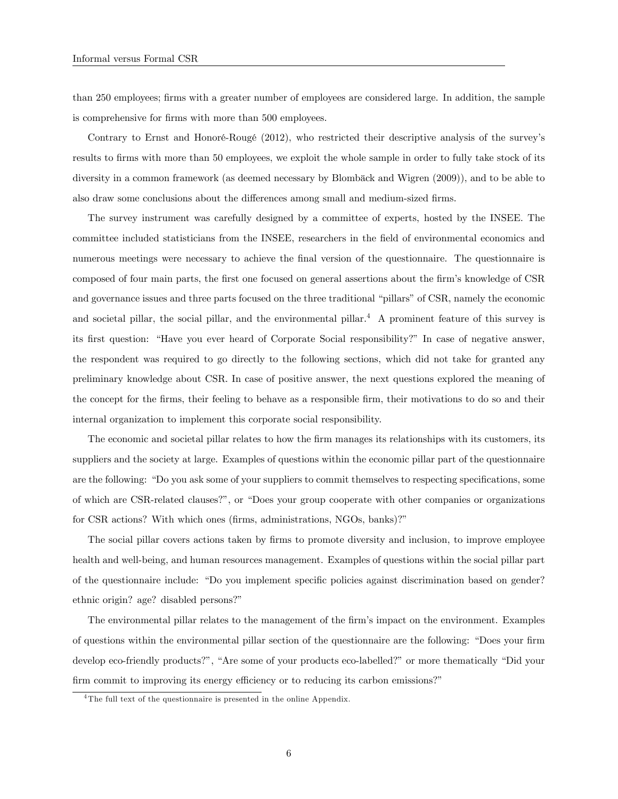than 250 employees; firms with a greater number of employees are considered large. In addition, the sample is comprehensive for firms with more than 500 employees.

Contrary to Ernst and Honoré-Rougé  $(2012)$ , who restricted their descriptive analysis of the survey's results to firms with more than 50 employees, we exploit the whole sample in order to fully take stock of its diversity in a common framework (as deemed necessary by Blombäck and Wigren (2009)), and to be able to also draw some conclusions about the differences among small and medium-sized firms.

The survey instrument was carefully designed by a committee of experts, hosted by the INSEE. The committee included statisticians from the INSEE, researchers in the field of environmental economics and numerous meetings were necessary to achieve the final version of the questionnaire. The questionnaire is composed of four main parts, the first one focused on general assertions about the firm's knowledge of CSR and governance issues and three parts focused on the three traditional "pillars" of CSR, namely the economic and societal pillar, the social pillar, and the environmental pillar.<sup>4</sup> A prominent feature of this survey is its first question: "Have you ever heard of Corporate Social responsibility?" In case of negative answer, the respondent was required to go directly to the following sections, which did not take for granted any preliminary knowledge about CSR. In case of positive answer, the next questions explored the meaning of the concept for the Örms, their feeling to behave as a responsible Örm, their motivations to do so and their internal organization to implement this corporate social responsibility.

The economic and societal pillar relates to how the firm manages its relationships with its customers, its suppliers and the society at large. Examples of questions within the economic pillar part of the questionnaire are the following: "Do you ask some of your suppliers to commit themselves to respecting specifications, some of which are CSR-related clauses?", or "Does your group cooperate with other companies or organizations for CSR actions? With which ones (firms, administrations, NGOs, banks)?"

The social pillar covers actions taken by firms to promote diversity and inclusion, to improve employee health and well-being, and human resources management. Examples of questions within the social pillar part of the questionnaire include: "Do you implement specific policies against discrimination based on gender? ethnic origin? age? disabled persons?"

The environmental pillar relates to the management of the firm's impact on the environment. Examples of questions within the environmental pillar section of the questionnaire are the following: "Does your firm develop eco-friendly products?", "Are some of your products eco-labelled?" or more thematically "Did your firm commit to improving its energy efficiency or to reducing its carbon emissions?"

<sup>&</sup>lt;sup>4</sup>The full text of the questionnaire is presented in the online Appendix.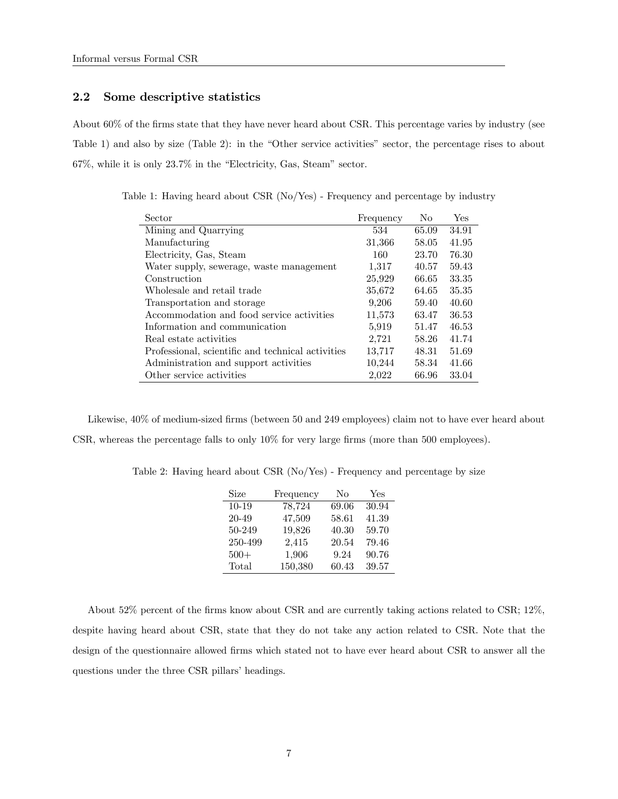## 2.2 Some descriptive statistics

About 60% of the firms state that they have never heard about CSR. This percentage varies by industry (see Table 1) and also by size (Table 2): in the "Other service activities" sector, the percentage rises to about  $67\%$ , while it is only  $23.7\%$  in the "Electricity, Gas, Steam" sector.

Table 1: Having heard about CSR (No/Yes) - Frequency and percentage by industry

| Sector                                            | Frequency | No    | Yes   |
|---------------------------------------------------|-----------|-------|-------|
| Mining and Quarrying                              | 534       | 65.09 | 34.91 |
| Manufacturing                                     | 31,366    | 58.05 | 41.95 |
| Electricity, Gas, Steam                           | 160       | 23.70 | 76.30 |
| Water supply, sewerage, waste management          | 1,317     | 40.57 | 59.43 |
| Construction                                      | 25,929    | 66.65 | 33.35 |
| Wholesale and retail trade                        | 35,672    | 64.65 | 35.35 |
| Transportation and storage                        | 9,206     | 59.40 | 40.60 |
| Accommodation and food service activities         | 11,573    | 63.47 | 36.53 |
| Information and communication                     | 5,919     | 51.47 | 46.53 |
| Real estate activities                            | 2,721     | 58.26 | 41.74 |
| Professional, scientific and technical activities | 13,717    | 48.31 | 51.69 |
| Administration and support activities             | 10,244    | 58.34 | 41.66 |
| Other service activities                          | 2.022     | 66.96 | 33.04 |

Likewise,  $40\%$  of medium-sized firms (between 50 and 249 employees) claim not to have ever heard about CSR, whereas the percentage falls to only  $10\%$  for very large firms (more than 500 employees).

Table 2: Having heard about CSR (No/Yes) - Frequency and percentage by size

| Size      | Frequency | No    | Yes   |
|-----------|-----------|-------|-------|
| $10 - 19$ | 78,724    | 69.06 | 30.94 |
| 20-49     | 47,509    | 58.61 | 41.39 |
| 50-249    | 19,826    | 40.30 | 59.70 |
| 250-499   | 2,415     | 20.54 | 79.46 |
| $500+$    | 1,906     | 9.24  | 90.76 |
| Total     | 150,380   | 60.43 | 39.57 |

About 52% percent of the firms know about CSR and are currently taking actions related to CSR; 12%, despite having heard about CSR, state that they do not take any action related to CSR. Note that the design of the questionnaire allowed firms which stated not to have ever heard about CSR to answer all the questions under the three CSR pillars' headings.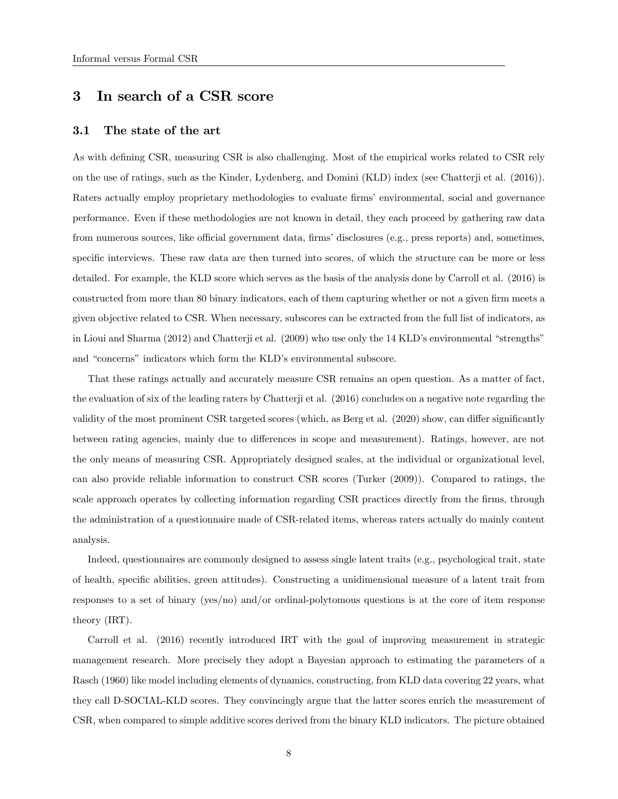## 3 In search of a CSR score

## 3.1 The state of the art

As with defining CSR, measuring CSR is also challenging. Most of the empirical works related to CSR rely on the use of ratings, such as the Kinder, Lydenberg, and Domini (KLD) index (see Chatterji et al. (2016)). Raters actually employ proprietary methodologies to evaluate firms' environmental, social and governance performance. Even if these methodologies are not known in detail, they each proceed by gathering raw data from numerous sources, like official government data, firms' disclosures (e.g., press reports) and, sometimes, specific interviews. These raw data are then turned into scores, of which the structure can be more or less detailed. For example, the KLD score which serves as the basis of the analysis done by Carroll et al. (2016) is constructed from more than 80 binary indicators, each of them capturing whether or not a given firm meets a given objective related to CSR. When necessary, subscores can be extracted from the full list of indicators, as in Lioui and Sharma (2012) and Chatterji et al. (2009) who use only the 14 KLD's environmental "strengths" and "concerns" indicators which form the KLD's environmental subscore.

That these ratings actually and accurately measure CSR remains an open question. As a matter of fact, the evaluation of six of the leading raters by Chatterji et al. (2016) concludes on a negative note regarding the validity of the most prominent CSR targeted scores (which, as Berg et al.  $(2020)$  show, can differ significantly between rating agencies, mainly due to differences in scope and measurement). Ratings, however, are not the only means of measuring CSR. Appropriately designed scales, at the individual or organizational level, can also provide reliable information to construct CSR scores (Turker (2009)). Compared to ratings, the scale approach operates by collecting information regarding CSR practices directly from the firms, through the administration of a questionnaire made of CSR-related items, whereas raters actually do mainly content analysis.

Indeed, questionnaires are commonly designed to assess single latent traits (e.g., psychological trait, state of health, specific abilities, green attitudes). Constructing a unidimensional measure of a latent trait from responses to a set of binary (yes/no) and/or ordinal-polytomous questions is at the core of item response theory (IRT).

Carroll et al. (2016) recently introduced IRT with the goal of improving measurement in strategic management research. More precisely they adopt a Bayesian approach to estimating the parameters of a Rasch (1960) like model including elements of dynamics, constructing, from KLD data covering 22 years, what they call D-SOCIAL-KLD scores. They convincingly argue that the latter scores enrich the measurement of CSR, when compared to simple additive scores derived from the binary KLD indicators. The picture obtained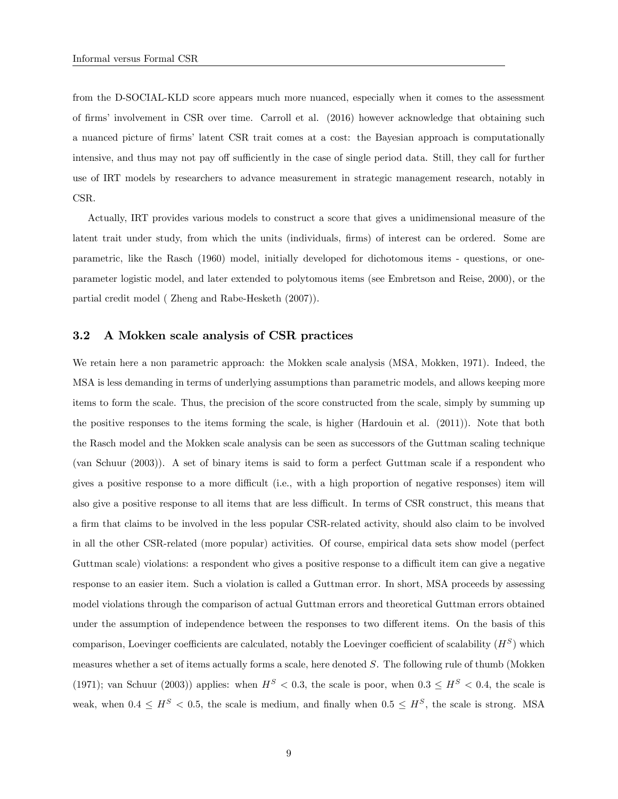from the D-SOCIAL-KLD score appears much more nuanced, especially when it comes to the assessment of Örmsí involvement in CSR over time. Carroll et al. (2016) however acknowledge that obtaining such a nuanced picture of firms' latent CSR trait comes at a cost: the Bayesian approach is computationally intensive, and thus may not pay off sufficiently in the case of single period data. Still, they call for further use of IRT models by researchers to advance measurement in strategic management research, notably in CSR.

Actually, IRT provides various models to construct a score that gives a unidimensional measure of the latent trait under study, from which the units (individuals, firms) of interest can be ordered. Some are parametric, like the Rasch (1960) model, initially developed for dichotomous items - questions, or oneparameter logistic model, and later extended to polytomous items (see Embretson and Reise, 2000), or the partial credit model ( Zheng and Rabe-Hesketh (2007)).

#### 3.2 A Mokken scale analysis of CSR practices

We retain here a non parametric approach: the Mokken scale analysis (MSA, Mokken, 1971). Indeed, the MSA is less demanding in terms of underlying assumptions than parametric models, and allows keeping more items to form the scale. Thus, the precision of the score constructed from the scale, simply by summing up the positive responses to the items forming the scale, is higher (Hardouin et al. (2011)). Note that both the Rasch model and the Mokken scale analysis can be seen as successors of the Guttman scaling technique (van Schuur (2003)). A set of binary items is said to form a perfect Guttman scale if a respondent who gives a positive response to a more difficult (i.e., with a high proportion of negative responses) item will also give a positive response to all items that are less difficult. In terms of CSR construct, this means that a Örm that claims to be involved in the less popular CSR-related activity, should also claim to be involved in all the other CSR-related (more popular) activities. Of course, empirical data sets show model (perfect Guttman scale) violations: a respondent who gives a positive response to a difficult item can give a negative response to an easier item. Such a violation is called a Guttman error. In short, MSA proceeds by assessing model violations through the comparison of actual Guttman errors and theoretical Guttman errors obtained under the assumption of independence between the responses to two different items. On the basis of this comparison, Loevinger coefficients are calculated, notably the Loevinger coefficient of scalability  $(H^S)$  which measures whether a set of items actually forms a scale, here denoted  $S$ . The following rule of thumb (Mokken (1971); van Schuur (2003)) applies: when  $H^S < 0.3$ , the scale is poor, when  $0.3 \leq H^S < 0.4$ , the scale is weak, when  $0.4 \leq H^S < 0.5$ , the scale is medium, and finally when  $0.5 \leq H^S$ , the scale is strong. MSA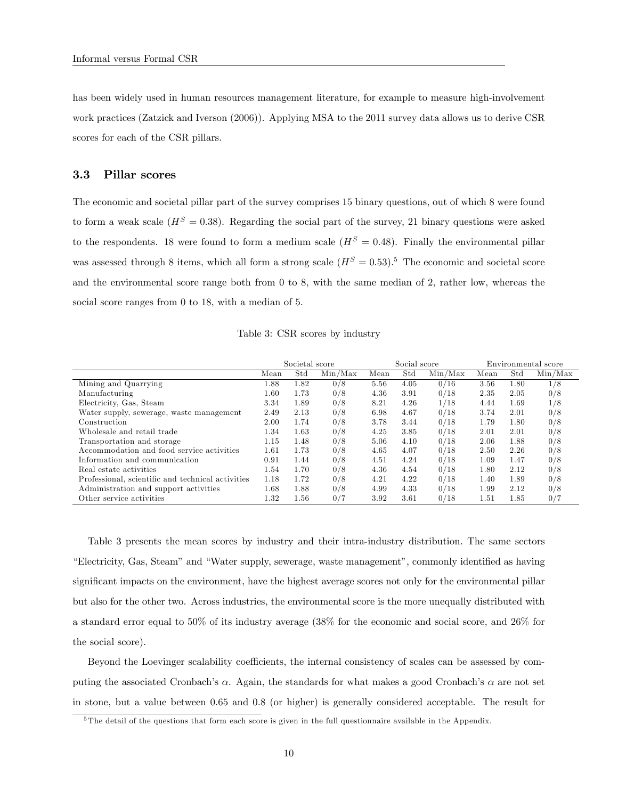has been widely used in human resources management literature, for example to measure high-involvement work practices (Zatzick and Iverson (2006)). Applying MSA to the 2011 survey data allows us to derive CSR scores for each of the CSR pillars.

#### 3.3 Pillar scores

The economic and societal pillar part of the survey comprises 15 binary questions, out of which 8 were found to form a weak scale  $(H^S = 0.38)$ . Regarding the social part of the survey, 21 binary questions were asked to the respondents. 18 were found to form a medium scale  $(H^S = 0.48)$ . Finally the environmental pillar was assessed through 8 items, which all form a strong scale  $(H<sup>S</sup> = 0.53).<sup>5</sup>$  The economic and societal score and the environmental score range both from 0 to 8, with the same median of 2, rather low, whereas the social score ranges from 0 to 18, with a median of 5.

|  |  |  |  |  | Table 3: CSR scores by industry |
|--|--|--|--|--|---------------------------------|
|--|--|--|--|--|---------------------------------|

|                                                   | Societal score |      |         | Social score |      |         | Environmental score |      |         |
|---------------------------------------------------|----------------|------|---------|--------------|------|---------|---------------------|------|---------|
|                                                   | Mean           | Std  | Min/Max | Mean         | Std  | Min/Max | Mean                | Std  | Min/Max |
| Mining and Quarrying                              | 1.88           | 1.82 | 0/8     | 5.56         | 4.05 | 0/16    | 3.56                | 1.80 | 1/8     |
| Manufacturing                                     | $1.60\,$       | 1.73 | 0/8     | 4.36         | 3.91 | 0/18    | 2.35                | 2.05 | 0/8     |
| Electricity, Gas, Steam                           | 3.34           | 1.89 | 0/8     | 8.21         | 4.26 | 1/18    | 4.44                | 1.69 | 1/8     |
| Water supply, sewerage, waste management          | 2.49           | 2.13 | 0/8     | 6.98         | 4.67 | 0/18    | 3.74                | 2.01 | 0/8     |
| Construction                                      | 2.00           | 1.74 | 0/8     | 3.78         | 3.44 | 0/18    | 1.79                | 1.80 | 0/8     |
| Wholesale and retail trade                        | 1.34           | 1.63 | 0/8     | 4.25         | 3.85 | 0/18    | 2.01                | 2.01 | 0/8     |
| Transportation and storage                        | 1.15           | 1.48 | 0/8     | 5.06         | 4.10 | 0/18    | 2.06                | 1.88 | 0/8     |
| Accommodation and food service activities         | 1.61           | 1.73 | 0/8     | 4.65         | 4.07 | 0/18    | 2.50                | 2.26 | 0/8     |
| Information and communication                     | 0.91           | 1.44 | 0/8     | 4.51         | 4.24 | 0/18    | 1.09                | 1.47 | 0/8     |
| Real estate activities                            | 1.54           | 1.70 | 0/8     | 4.36         | 4.54 | 0/18    | 1.80                | 2.12 | 0/8     |
| Professional, scientific and technical activities | 1.18           | 1.72 | 0/8     | 4.21         | 4.22 | 0/18    | 1.40                | 1.89 | 0/8     |
| Administration and support activities             | 1.68           | 1.88 | 0/8     | 4.99         | 4.33 | 0/18    | 1.99                | 2.12 | 0/8     |
| Other service activities                          | 1.32           | 1.56 | 0/7     | 3.92         | 3.61 | 0/18    | 1.51                | 1.85 | 0/7     |

Table 3 presents the mean scores by industry and their intra-industry distribution. The same sectors *i*Electricity, Gas, Steam" and *i*Water supply, sewerage, waste management", commonly identified as having significant impacts on the environment, have the highest average scores not only for the environmental pillar but also for the other two. Across industries, the environmental score is the more unequally distributed with a standard error equal to 50% of its industry average (38% for the economic and social score, and 26% for the social score).

Beyond the Loevinger scalability coefficients, the internal consistency of scales can be assessed by computing the associated Cronbach's  $\alpha$ . Again, the standards for what makes a good Cronbach's  $\alpha$  are not set in stone, but a value between 0.65 and 0.8 (or higher) is generally considered acceptable. The result for

<sup>&</sup>lt;sup>5</sup>The detail of the questions that form each score is given in the full questionnaire available in the Appendix.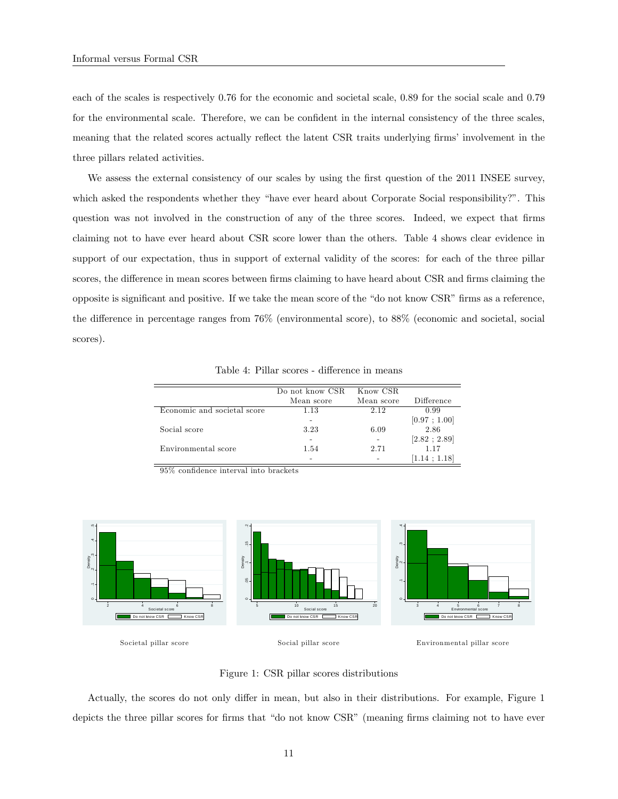each of the scales is respectively 0.76 for the economic and societal scale, 0.89 for the social scale and 0.79 for the environmental scale. Therefore, we can be confident in the internal consistency of the three scales, meaning that the related scores actually reflect the latent CSR traits underlying firms' involvement in the three pillars related activities.

We assess the external consistency of our scales by using the first question of the 2011 INSEE survey, which asked the respondents whether they "have ever heard about Corporate Social responsibility?". This question was not involved in the construction of any of the three scores. Indeed, we expect that firms claiming not to have ever heard about CSR score lower than the others. Table 4 shows clear evidence in support of our expectation, thus in support of external validity of the scores: for each of the three pillar scores, the difference in mean scores between firms claiming to have heard about CSR and firms claiming the opposite is significant and positive. If we take the mean score of the "do not know CSR" firms as a reference, the difference in percentage ranges from  $76\%$  (environmental score), to  $88\%$  (economic and societal, social scores).

|                             | Do not know CSR | Know CSR   |              |
|-----------------------------|-----------------|------------|--------------|
|                             | Mean score      | Mean score | Difference   |
| Economic and societal score | 1.13            | 2.12       | 0.99         |
|                             |                 |            | [0.97; 1.00] |
| Social score                | 3.23            | 6.09       | 2.86         |
|                             |                 |            | [2.82; 2.89] |
| Environmental score         | 1.54            | 2.71       | 1.17         |
|                             |                 |            | [1.14; 1.18] |

Table 4: Pillar scores - difference in means

95% confidence interval into brackets



Societal pillar score

 $\overline{\phantom{0}}$ 

Social pillar score

Environmental pillar score

Figure 1: CSR pillar scores distributions

Actually, the scores do not only differ in mean, but also in their distributions. For example, Figure 1 depicts the three pillar scores for firms that "do not know CSR" (meaning firms claiming not to have ever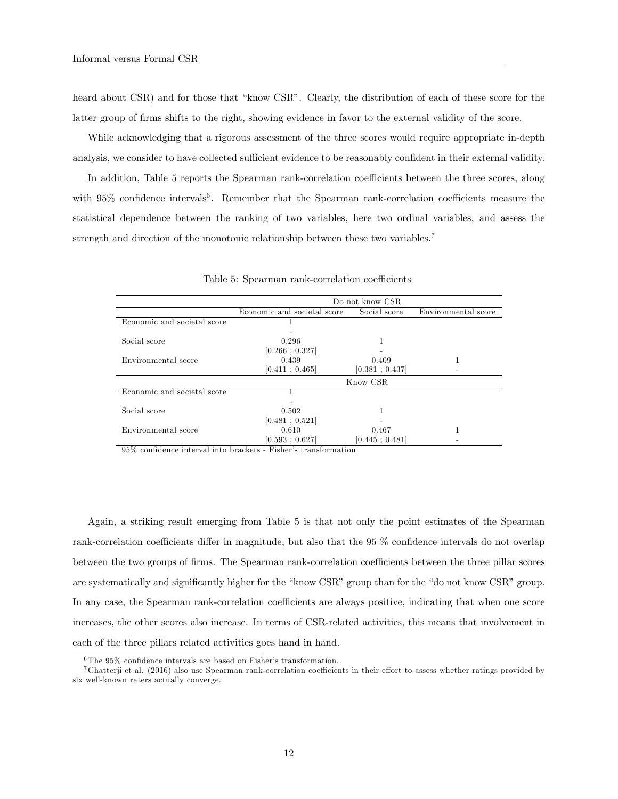heard about CSR) and for those that "know CSR". Clearly, the distribution of each of these score for the latter group of firms shifts to the right, showing evidence in favor to the external validity of the score.

While acknowledging that a rigorous assessment of the three scores would require appropriate in-depth analysis, we consider to have collected sufficient evidence to be reasonably confident in their external validity.

In addition, Table 5 reports the Spearman rank-correlation coefficients between the three scores, along with  $95\%$  confidence intervals<sup>6</sup>. Remember that the Spearman rank-correlation coefficients measure the statistical dependence between the ranking of two variables, here two ordinal variables, and assess the strength and direction of the monotonic relationship between these two variables.<sup>7</sup>

|                             | Do not know CSR             |                |                     |  |  |  |
|-----------------------------|-----------------------------|----------------|---------------------|--|--|--|
|                             | Economic and societal score | Social score   | Environmental score |  |  |  |
| Economic and societal score |                             |                |                     |  |  |  |
|                             |                             |                |                     |  |  |  |
| Social score                | 0.296                       |                |                     |  |  |  |
|                             | [0.266:0.327]               |                |                     |  |  |  |
| Environmental score         | 0.439                       | 0.409          |                     |  |  |  |
|                             | [0.411; 0.465]              | [0.381; 0.437] |                     |  |  |  |
|                             |                             | Know CSR       |                     |  |  |  |
| Economic and societal score |                             |                |                     |  |  |  |
|                             |                             |                |                     |  |  |  |
| Social score                | 0.502                       |                |                     |  |  |  |
|                             | [0.481; 0.521]              |                |                     |  |  |  |
| Environmental score         | 0.610                       | 0.467          |                     |  |  |  |
|                             | [0.593:0.627]               | [0.445:0.481]  |                     |  |  |  |

Table 5: Spearman rank-correlation coefficients

 $95\%$  confidence interval into brackets - Fisher's transformation

Again, a striking result emerging from Table 5 is that not only the point estimates of the Spearman rank-correlation coefficients differ in magnitude, but also that the 95 % confidence intervals do not overlap between the two groups of firms. The Spearman rank-correlation coefficients between the three pillar scores are systematically and significantly higher for the "know CSR" group than for the "do not know CSR" group. In any case, the Spearman rank-correlation coefficients are always positive, indicating that when one score increases, the other scores also increase. In terms of CSR-related activities, this means that involvement in each of the three pillars related activities goes hand in hand.

 $6$ The 95% confidence intervals are based on Fisher's transformation.

 $7$  Chatterji et al. (2016) also use Spearman rank-correlation coefficients in their effort to assess whether ratings provided by six well-known raters actually converge.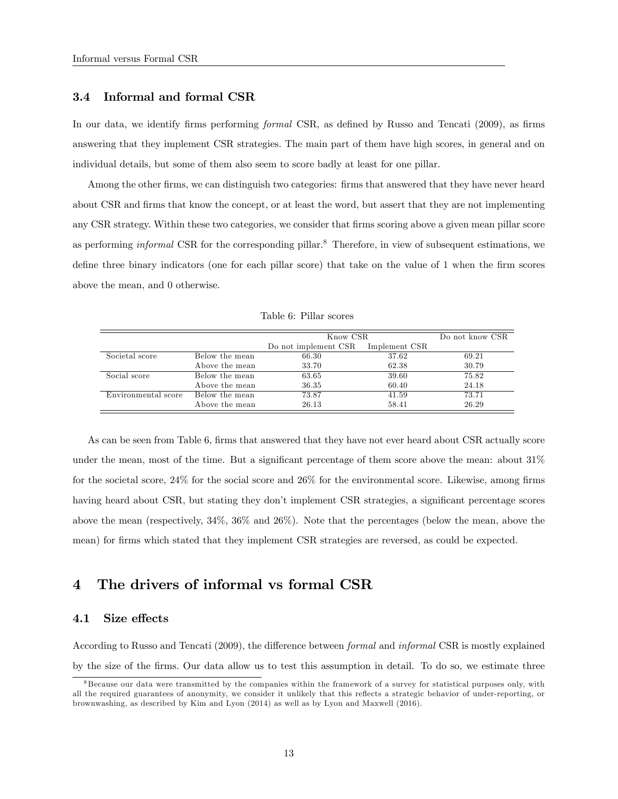### 3.4 Informal and formal CSR

In our data, we identify firms performing formal CSR, as defined by Russo and Tencati (2009), as firms answering that they implement CSR strategies. The main part of them have high scores, in general and on individual details, but some of them also seem to score badly at least for one pillar.

Among the other firms, we can distinguish two categories: firms that answered that they have never heard about CSR and firms that know the concept, or at least the word, but assert that they are not implementing any CSR strategy. Within these two categories, we consider that firms scoring above a given mean pillar score as performing *informal* CSR for the corresponding pillar.<sup>8</sup> Therefore, in view of subsequent estimations, we define three binary indicators (one for each pillar score) that take on the value of 1 when the firm scores above the mean, and 0 otherwise.

|                     |                | Know CSR             | Do not know CSR |       |
|---------------------|----------------|----------------------|-----------------|-------|
|                     |                | Do not implement CSR | Implement CSR   |       |
| Societal score      | Below the mean | 66.30                | 37.62           | 69.21 |
|                     | Above the mean | 33.70                | 62.38           | 30.79 |
| Social score        | Below the mean | 63.65                | 39.60           | 75.82 |
|                     | Above the mean | 36.35                | 60.40           | 24.18 |
| Environmental score | Below the mean | 73.87                | 41.59           | 73.71 |
|                     | Above the mean | 26.13                | 58.41           | 26.29 |

Table 6: Pillar scores

As can be seen from Table 6, firms that answered that they have not ever heard about CSR actually score under the mean, most of the time. But a significant percentage of them score above the mean: about  $31\%$ for the societal score,  $24\%$  for the social score and  $26\%$  for the environmental score. Likewise, among firms having heard about CSR, but stating they don't implement CSR strategies, a significant percentage scores above the mean (respectively, 34%, 36% and 26%). Note that the percentages (below the mean, above the mean) for firms which stated that they implement CSR strategies are reversed, as could be expected.

## 4 The drivers of informal vs formal CSR

#### 4.1 Size effects

According to Russo and Tencati (2009), the difference between *formal* and *informal* CSR is mostly explained by the size of the firms. Our data allow us to test this assumption in detail. To do so, we estimate three

<sup>&</sup>lt;sup>8</sup> Because our data were transmitted by the companies within the framework of a survey for statistical purposes only, with all the required guarantees of anonymity, we consider it unlikely that this reflects a strategic behavior of under-reporting, or brownwashing, as described by Kim and Lyon (2014) as well as by Lyon and Maxwell (2016).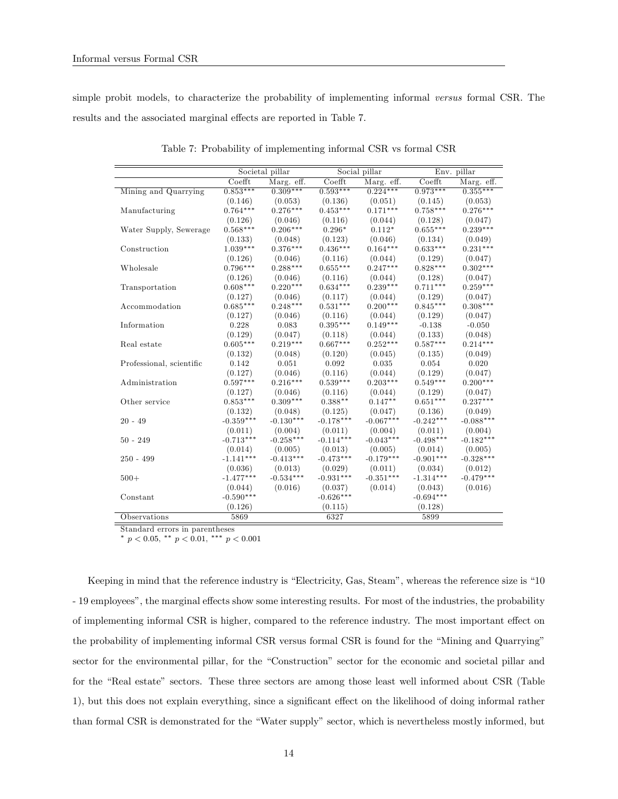simple probit models, to characterize the probability of implementing informal versus formal CSR. The results and the associated marginal effects are reported in Table 7.

|                          | Societal pillar   |             |             | Social pillar | Env. pillar |             |
|--------------------------|-------------------|-------------|-------------|---------------|-------------|-------------|
|                          | $\mathrm{Coefft}$ | Marg. eff.  | Coefft      | Marg. eff.    | $Co$ efft   | Marg. eff.  |
| Mining and Quarrying     | $0.853***$        | $0.309***$  | $0.593***$  | $0.224***$    | $0.973***$  | $0.355***$  |
|                          | (0.146)           | (0.053)     | (0.136)     | (0.051)       | (0.145)     | (0.053)     |
| Manufacturing            | $0.764***$        | $0.276***$  | $0.453***$  | $0.171***$    | $0.758***$  | $0.276***$  |
|                          | (0.126)           | (0.046)     | (0.116)     | (0.044)       | (0.128)     | (0.047)     |
| Water Supply, Sewerage   | $0.568***$        | $0.206***$  | $0.296*$    | $0.112*$      | $0.655***$  | $0.239***$  |
|                          | (0.133)           | (0.048)     | (0.123)     | (0.046)       | (0.134)     | (0.049)     |
| Construction             | $1.039***$        | $0.376***$  | $0.436***$  | $0.164***$    | $0.633***$  | $0.231***$  |
|                          | (0.126)           | (0.046)     | (0.116)     | (0.044)       | (0.129)     | (0.047)     |
| Wholesale                | $0.796***$        | $0.288***$  | $0.655***$  | $0.247***$    | $0.828***$  | $0.302***$  |
|                          | (0.126)           | (0.046)     | (0.116)     | (0.044)       | (0.128)     | (0.047)     |
| Transportation           | $0.608***$        | $0.220***$  | $0.634***$  | $0.239***$    | $0.711***$  | $0.259***$  |
|                          | (0.127)           | (0.046)     | (0.117)     | (0.044)       | (0.129)     | (0.047)     |
| Accommodation            | $0.685***$        | $0.248***$  | $0.531***$  | $0.200***$    | $0.845***$  | $0.308***$  |
|                          | (0.127)           | (0.046)     | (0.116)     | (0.044)       | (0.129)     | (0.047)     |
| Information              | 0.228             | 0.083       | $0.395***$  | $0.149***$    | $-0.138$    | $-0.050$    |
|                          | (0.129)           | (0.047)     | (0.118)     | (0.044)       | (0.133)     | (0.048)     |
| Real estate              | $0.605***$        | $0.219***$  | $0.667***$  | $0.252***$    | $0.587***$  | $0.214***$  |
|                          | (0.132)           | (0.048)     | (0.120)     | (0.045)       | (0.135)     | (0.049)     |
| Professional, scientific | 0.142             | 0.051       | 0.092       | 0.035         | 0.054       | 0.020       |
|                          | (0.127)           | (0.046)     | (0.116)     | (0.044)       | (0.129)     | (0.047)     |
| Administration           | $0.597***$        | $0.216***$  | $0.539***$  | $0.203***$    | $0.549***$  | $0.200***$  |
|                          | (0.127)           | (0.046)     | (0.116)     | (0.044)       | (0.129)     | (0.047)     |
| Other service            | $0.853***$        | $0.309***$  | $0.388**$   | $0.147**$     | $0.651***$  | $0.237***$  |
|                          | (0.132)           | (0.048)     | (0.125)     | (0.047)       | (0.136)     | (0.049)     |
| $20 - 49$                | $-0.359***$       | $-0.130***$ | $-0.178***$ | $-0.067***$   | $-0.242***$ | $-0.088***$ |
|                          | (0.011)           | (0.004)     | (0.011)     | (0.004)       | (0.011)     | (0.004)     |
| $50 - 249$               | $-0.713***$       | $-0.258***$ | $-0.114***$ | $-0.043***$   | $-0.498***$ | $-0.182***$ |
|                          | (0.014)           | (0.005)     | (0.013)     | (0.005)       | (0.014)     | (0.005)     |
| $250 - 499$              | $-1.141***$       | $-0.413***$ | $-0.473***$ | $-0.179***$   | $-0.901***$ | $-0.328***$ |
|                          | (0.036)           | (0.013)     | (0.029)     | (0.011)       | (0.034)     | (0.012)     |
| $500+$                   | $-1.477***$       | $-0.534***$ | $-0.931***$ | $-0.351***$   | $-1.314***$ | $-0.479***$ |
|                          | (0.044)           | (0.016)     | (0.037)     | (0.014)       | (0.043)     | (0.016)     |
| Constant                 | $-0.590***$       |             | $-0.626***$ |               | $-0.694***$ |             |
|                          | (0.126)           |             | (0.115)     |               | (0.128)     |             |
| Observations             | 5869              |             | 6327        |               | 5899        |             |

Table 7: Probability of implementing informal CSR vs formal CSR

Standard errors in parentheses

\*  $p < 0.05$ , \*\*  $p < 0.01$ , \*\*\*  $p < 0.001$ 

Keeping in mind that the reference industry is "Electricity, Gas, Steam", whereas the reference size is "10" - 19 employees", the marginal effects show some interesting results. For most of the industries, the probability of implementing informal CSR is higher, compared to the reference industry. The most important effect on the probability of implementing informal CSR versus formal CSR is found for the "Mining and Quarrying" sector for the environmental pillar, for the "Construction" sector for the economic and societal pillar and for the "Real estate" sectors. These three sectors are among those least well informed about CSR (Table 1), but this does not explain everything, since a significant effect on the likelihood of doing informal rather than formal CSR is demonstrated for the "Water supply" sector, which is nevertheless mostly informed, but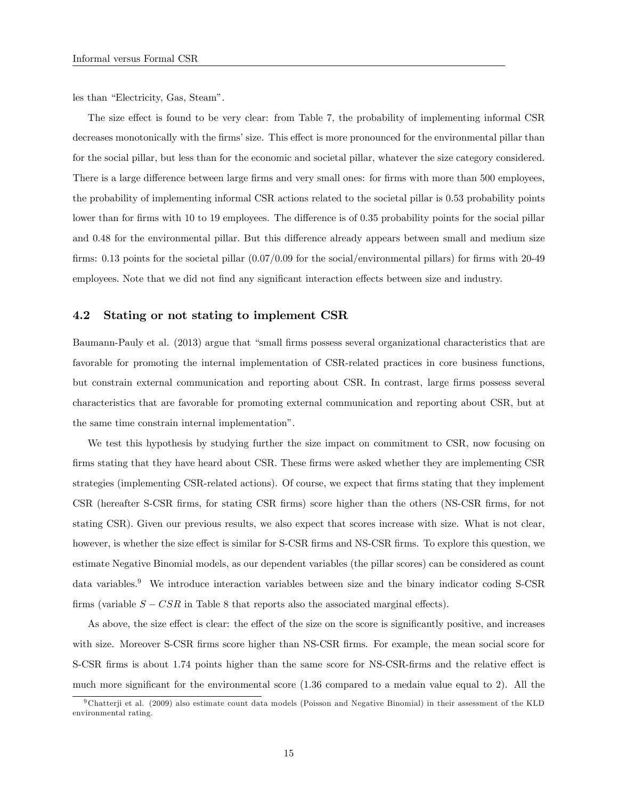les than "Electricity, Gas, Steam".

The size effect is found to be very clear: from Table 7, the probability of implementing informal CSR decreases monotonically with the firms' size. This effect is more pronounced for the environmental pillar than for the social pillar, but less than for the economic and societal pillar, whatever the size category considered. There is a large difference between large firms and very small ones: for firms with more than 500 employees, the probability of implementing informal CSR actions related to the societal pillar is 0.53 probability points lower than for firms with 10 to 19 employees. The difference is of 0.35 probability points for the social pillar and 0.48 for the environmental pillar. But this difference already appears between small and medium size firms: 0.13 points for the societal pillar  $(0.07/0.09$  for the social/environmental pillars) for firms with 20-49 employees. Note that we did not find any significant interaction effects between size and industry.

#### 4.2 Stating or not stating to implement CSR

Baumann-Pauly et al. (2013) argue that "small firms possess several organizational characteristics that are favorable for promoting the internal implementation of CSR-related practices in core business functions, but constrain external communication and reporting about CSR. In contrast, large firms possess several characteristics that are favorable for promoting external communication and reporting about CSR, but at the same time constrain internal implementationî.

We test this hypothesis by studying further the size impact on commitment to CSR, now focusing on firms stating that they have heard about CSR. These firms were asked whether they are implementing CSR. strategies (implementing CSR-related actions). Of course, we expect that firms stating that they implement CSR (hereafter S-CSR Örms, for stating CSR Örms) score higher than the others (NS-CSR Örms, for not stating CSR). Given our previous results, we also expect that scores increase with size. What is not clear, however, is whether the size effect is similar for S-CSR firms and NS-CSR firms. To explore this question, we estimate Negative Binomial models, as our dependent variables (the pillar scores) can be considered as count data variables.<sup>9</sup> We introduce interaction variables between size and the binary indicator coding S-CSR firms (variable  $S - CSR$  in Table 8 that reports also the associated marginal effects).

As above, the size effect is clear: the effect of the size on the score is significantly positive, and increases with size. Moreover S-CSR firms score higher than NS-CSR firms. For example, the mean social score for S-CSR firms is about 1.74 points higher than the same score for NS-CSR-firms and the relative effect is much more significant for the environmental score  $(1.36 \text{ compared to a median value equal to } 2)$ . All the

<sup>9</sup> Chatterji et al. (2009) also estimate count data models (Poisson and Negative Binomial) in their assessment of the KLD environmental rating.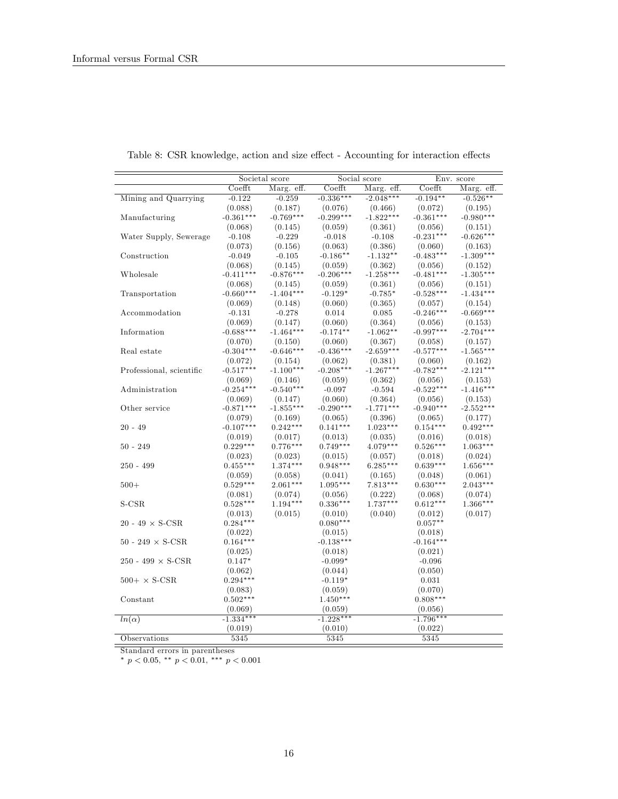|                          | Societal score |             |             | Social score | Env. score  |             |  |
|--------------------------|----------------|-------------|-------------|--------------|-------------|-------------|--|
|                          | Coefft         | Marg. eff.  | $Co$ efft   | Marg. eff.   | Coefft      | Marg. eff.  |  |
| Mining and Quarrying     | $-0.122$       | $-0.259$    | $-0.336***$ | $-2.048***$  | $-0.194**$  | $-0.526**$  |  |
|                          | (0.088)        | (0.187)     | (0.076)     | (0.466)      | (0.072)     | (0.195)     |  |
| Manufacturing            | $-0.361***$    | $-0.769***$ | $-0.299***$ | $-1.822***$  | $-0.361***$ | $-0.980***$ |  |
|                          | (0.068)        | (0.145)     | (0.059)     | (0.361)      | (0.056)     | (0.151)     |  |
| Water Supply, Sewerage   | $-0.108$       | $-0.229$    | $-0.018$    | $-0.108$     | $-0.231***$ | $-0.626***$ |  |
|                          | (0.073)        | (0.156)     | (0.063)     | (0.386)      | (0.060)     | (0.163)     |  |
| Construction             | $-0.049$       | $-0.105$    | $-0.186**$  | $-1.132**$   | $-0.483***$ | $-1.309***$ |  |
|                          | (0.068)        | (0.145)     | (0.059)     | (0.362)      | (0.056)     | (0.152)     |  |
| Wholesale                | $-0.411***$    | $-0.876***$ | $-0.206***$ | $-1.258***$  | $-0.481***$ | $-1.305***$ |  |
|                          | (0.068)        | (0.145)     | (0.059)     | (0.361)      | (0.056)     | (0.151)     |  |
| Transportation           | $-0.660***$    | $-1.404***$ | $-0.129*$   | $-0.785*$    | $-0.528***$ | $-1.434***$ |  |
|                          | (0.069)        | (0.148)     | (0.060)     | (0.365)      | (0.057)     | (0.154)     |  |
| Accommodation            | $-0.131$       | $-0.278$    | 0.014       | 0.085        | $-0.246***$ | $-0.669***$ |  |
|                          | (0.069)        | (0.147)     | (0.060)     | (0.364)      | (0.056)     | (0.153)     |  |
| Information              | $-0.688***$    | $-1.464***$ | $-0.174**$  | $-1.062**$   | $-0.997***$ | $-2.704***$ |  |
|                          | (0.070)        | (0.150)     | (0.060)     | (0.367)      | (0.058)     | (0.157)     |  |
| Real estate              | $-0.304***$    | $-0.646***$ | $-0.436***$ | $-2.659***$  | $-0.577***$ | $-1.565***$ |  |
|                          | (0.072)        | (0.154)     | (0.062)     | (0.381)      | (0.060)     | (0.162)     |  |
| Professional, scientific | $-0.517***$    | $-1.100***$ | $-0.208***$ | $-1.267***$  | $-0.782***$ | $-2.121***$ |  |
|                          | (0.069)        | (0.146)     | (0.059)     | (0.362)      | (0.056)     | (0.153)     |  |
| Administration           | $-0.254***$    | $-0.540***$ | $-0.097$    | $-0.594$     | $-0.522***$ | $-1.416***$ |  |
|                          | (0.069)        | (0.147)     | (0.060)     | (0.364)      | (0.056)     | (0.153)     |  |
| Other service            | $-0.871***$    | $-1.855***$ | $-0.290***$ | $-1.771***$  | $-0.940***$ | $-2.552***$ |  |
|                          | (0.079)        | (0.169)     | (0.065)     | (0.396)      | (0.065)     | (0.177)     |  |
| $20 - 49$                | $-0.107***$    | $0.242***$  | $0.141***$  | $1.023***$   | $0.154***$  | $0.492***$  |  |
|                          | (0.019)        | (0.017)     | (0.013)     | (0.035)      | (0.016)     | (0.018)     |  |
| $50 - 249$               | $0.229***$     | $0.776***$  | $0.749***$  | $4.079***$   | $0.526***$  | $1.063***$  |  |
|                          | (0.023)        | (0.023)     | (0.015)     | (0.057)      | (0.018)     | (0.024)     |  |
| $250 - 499$              | $0.455***$     | $1.374***$  | $0.948***$  | $6.285***$   | $0.639***$  | $1.656***$  |  |
|                          | (0.059)        | (0.058)     | (0.041)     | (0.165)      | (0.048)     | (0.061)     |  |
| $500+$                   | $0.529***$     | $2.061***$  | $1.095***$  | $7.813***$   | $0.630***$  | $2.043***$  |  |
|                          | (0.081)        | (0.074)     | (0.056)     | (0.222)      | (0.068)     | (0.074)     |  |
| $S-CSR$                  | $0.528***$     | $1.194***$  | $0.336***$  | $1.737***$   | $0.612***$  | $1.366***$  |  |
|                          | (0.013)        | (0.015)     | (0.010)     | (0.040)      | (0.012)     | (0.017)     |  |
| 20 - 49 $\times$ S-CSR   | $0.284***$     |             | $0.080***$  |              | $0.057**$   |             |  |
|                          | (0.022)        |             | (0.015)     |              | (0.018)     |             |  |
| $50 - 249 \times S-CSR$  | $0.164***$     |             | $-0.138***$ |              | $-0.164***$ |             |  |
|                          | (0.025)        |             | (0.018)     |              | (0.021)     |             |  |
| 250 - 499 $\times$ S-CSR | $0.147*$       |             | $-0.099*$   |              | $-0.096$    |             |  |
|                          | (0.062)        |             | (0.044)     |              | (0.050)     |             |  |
| $500+ \times S-CSR$      | $0.294***$     |             | $-0.119*$   |              | 0.031       |             |  |
|                          | (0.083)        |             | (0.059)     |              | (0.070)     |             |  |
| Constant                 | $0.502***$     |             | $1.450***$  |              | $0.808***$  |             |  |
|                          | (0.069)        |             | (0.059)     |              | (0.056)     |             |  |
| $ln(\alpha)$             | $-1.334***$    |             | $-1.228***$ |              | $-1.796***$ |             |  |
|                          | (0.019)        |             | (0.010)     |              | (0.022)     |             |  |
| Observations             | 5345           |             | 5345        |              | 5345        |             |  |

Table 8: CSR knowledge, action and size effect - Accounting for interaction effects

Standard errors in parentheses

\*  $p < 0.05$ , \*\*  $p < 0.01$ , \*\*\*  $p < 0.001$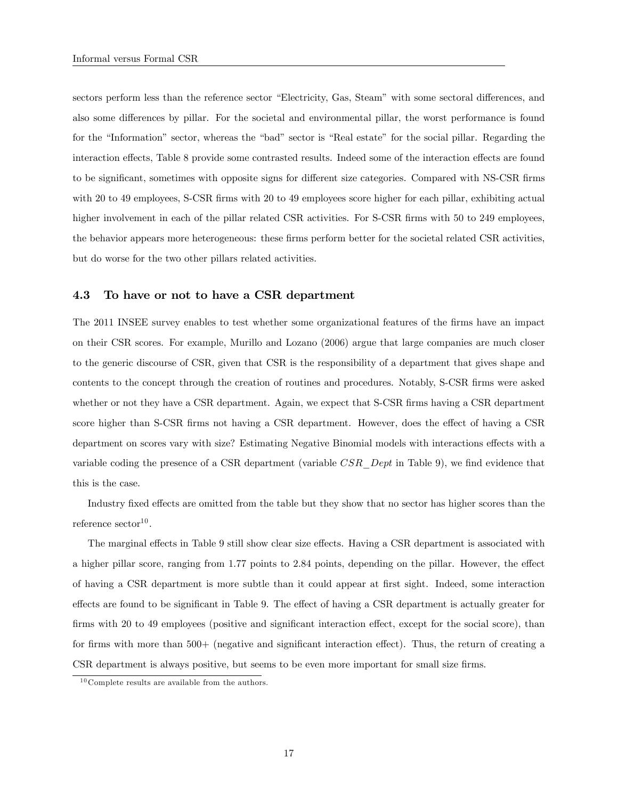sectors perform less than the reference sector "Electricity, Gas, Steam" with some sectoral differences, and also some differences by pillar. For the societal and environmental pillar, the worst performance is found for the "Information" sector, whereas the "bad" sector is "Real estate" for the social pillar. Regarding the interaction effects, Table 8 provide some contrasted results. Indeed some of the interaction effects are found to be significant, sometimes with opposite signs for different size categories. Compared with NS-CSR firms with 20 to 49 employees, S-CSR firms with 20 to 49 employees score higher for each pillar, exhibiting actual higher involvement in each of the pillar related CSR activities. For S-CSR firms with 50 to 249 employees, the behavior appears more heterogeneous: these firms perform better for the societal related CSR activities, but do worse for the two other pillars related activities.

#### 4.3 To have or not to have a CSR department

The 2011 INSEE survey enables to test whether some organizational features of the Örms have an impact on their CSR scores. For example, Murillo and Lozano (2006) argue that large companies are much closer to the generic discourse of CSR, given that CSR is the responsibility of a department that gives shape and contents to the concept through the creation of routines and procedures. Notably, S-CSR firms were asked whether or not they have a CSR department. Again, we expect that S-CSR firms having a CSR department score higher than S-CSR firms not having a CSR department. However, does the effect of having a CSR department on scores vary with size? Estimating Negative Binomial models with interactions effects with a variable coding the presence of a CSR department (variable  $CSR\;Depth$  in Table 9), we find evidence that this is the case.

Industry fixed effects are omitted from the table but they show that no sector has higher scores than the  $r$ eference  $\mathrm{sector}^{10}$ .

The marginal effects in Table 9 still show clear size effects. Having a CSR department is associated with a higher pillar score, ranging from 1.77 points to 2.84 points, depending on the pillar. However, the effect of having a CSR department is more subtle than it could appear at Örst sight. Indeed, some interaction effects are found to be significant in Table 9. The effect of having a CSR department is actually greater for firms with 20 to 49 employees (positive and significant interaction effect, except for the social score), than for firms with more than  $500+$  (negative and significant interaction effect). Thus, the return of creating a CSR department is always positive, but seems to be even more important for small size firms.

 $^{10}\mathrm{Complete}$  results are available from the authors.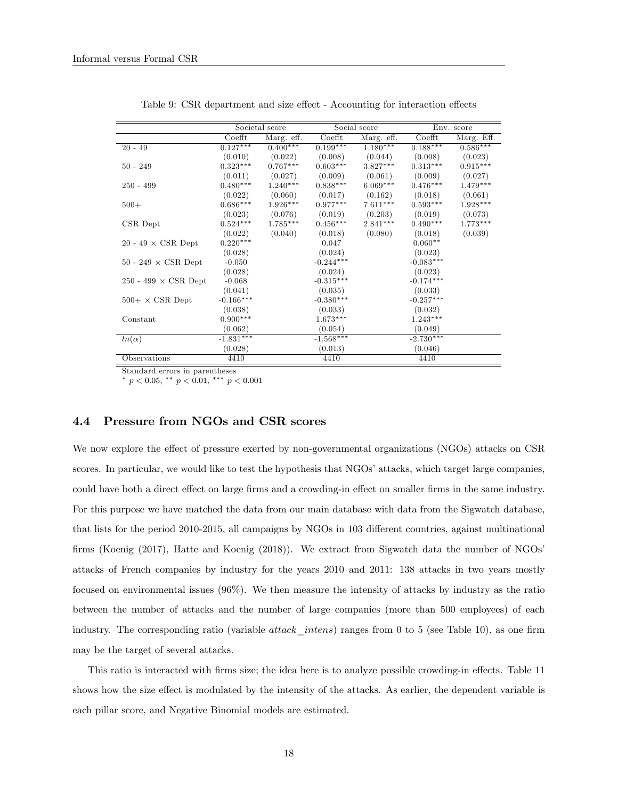|                                   |             | Societal score |             | Social score          | Env. score  |            |  |
|-----------------------------------|-------------|----------------|-------------|-----------------------|-------------|------------|--|
|                                   | Coefft      | Marg. eff.     | Coefft      | Marg. eff.            | Coefft      | Marg. Eff. |  |
| $20 - 49$                         | $0.127***$  | $0.400***$     | $0.199***$  | $1.\overline{180***}$ | $0.188***$  | $0.586***$ |  |
|                                   | (0.010)     | (0.022)        | (0.008)     | (0.044)               | (0.008)     | (0.023)    |  |
| $50 - 249$                        | $0.323***$  | $0.767***$     | $0.603***$  | $3.827***$            | $0.313***$  | $0.915***$ |  |
|                                   | (0.011)     | (0.027)        | (0.009)     | (0.061)               | (0.009)     | (0.027)    |  |
| $250 - 499$                       | $0.480***$  | $1.240***$     | $0.838***$  | $6.069***$            | $0.476***$  | $1.479***$ |  |
|                                   | (0.022)     | (0.060)        | (0.017)     | (0.162)               | (0.018)     | (0.061)    |  |
| $500+$                            | $0.686***$  | $1.926***$     | $0.977***$  | $7.611***$            | $0.593***$  | $1.928***$ |  |
|                                   | (0.023)     | (0.076)        | (0.019)     | (0.203)               | (0.019)     | (0.073)    |  |
| CSR Dept                          | $0.524***$  | $1.785***$     | $0.456***$  | $2.841***$            | $0.490***$  | $1.773***$ |  |
|                                   | (0.022)     | (0.040)        | (0.018)     | (0.080)               | (0.018)     | (0.039)    |  |
| 20 - 49 $\times$ CSR Dept         | $0.220***$  |                | 0.047       |                       | $0.060**$   |            |  |
|                                   | (0.028)     |                | (0.024)     |                       | (0.023)     |            |  |
| $50 - 249 \times \text{CSR}$ Dept | $-0.050$    |                | $-0.244***$ |                       | $-0.083***$ |            |  |
|                                   | (0.028)     |                | (0.024)     |                       | (0.023)     |            |  |
| 250 - 499 $\times$ CSR Dept       | $-0.068$    |                | $-0.315***$ |                       | $-0.174***$ |            |  |
|                                   | (0.041)     |                | (0.035)     |                       | (0.033)     |            |  |
| $500+ \times$ CSR Dept            | $-0.166***$ |                | $-0.380***$ |                       | $-0.257***$ |            |  |
|                                   | (0.038)     |                | (0.033)     |                       | (0.032)     |            |  |
| Constant                          | $0.900***$  |                | $1.673***$  |                       | $1.243***$  |            |  |
|                                   | (0.062)     |                | (0.054)     |                       | (0.049)     |            |  |
| $ln(\alpha)$                      | $-1.831***$ |                | $-1.568***$ |                       | $-2.730***$ |            |  |
|                                   | (0.028)     |                | (0.013)     |                       | (0.046)     |            |  |
| Observations                      | 4410        |                | 4410        |                       | 4410        |            |  |

Table 9: CSR department and size effect - Accounting for interaction effects

Standard errors in parentheses

\*  $p < 0.05$ , \*\*  $p < 0.01$ , \*\*\*  $p < 0.001$ 

## 4.4 Pressure from NGOs and CSR scores

We now explore the effect of pressure exerted by non-governmental organizations (NGOs) attacks on CSR scores. In particular, we would like to test the hypothesis that NGOs' attacks, which target large companies, could have both a direct effect on large firms and a crowding-in effect on smaller firms in the same industry. For this purpose we have matched the data from our main database with data from the Sigwatch database, that lists for the period 2010-2015, all campaigns by NGOs in 103 different countries, against multinational firms (Koenig (2017), Hatte and Koenig (2018)). We extract from Sigwatch data the number of NGOs' attacks of French companies by industry for the years 2010 and 2011: 138 attacks in two years mostly focused on environmental issues (96%). We then measure the intensity of attacks by industry as the ratio between the number of attacks and the number of large companies (more than 500 employees) of each industry. The corresponding ratio (variable *attack intens*) ranges from 0 to 5 (see Table 10), as one firm may be the target of several attacks.

This ratio is interacted with firms size; the idea here is to analyze possible crowding-in effects. Table 11 shows how the size effect is modulated by the intensity of the attacks. As earlier, the dependent variable is each pillar score, and Negative Binomial models are estimated.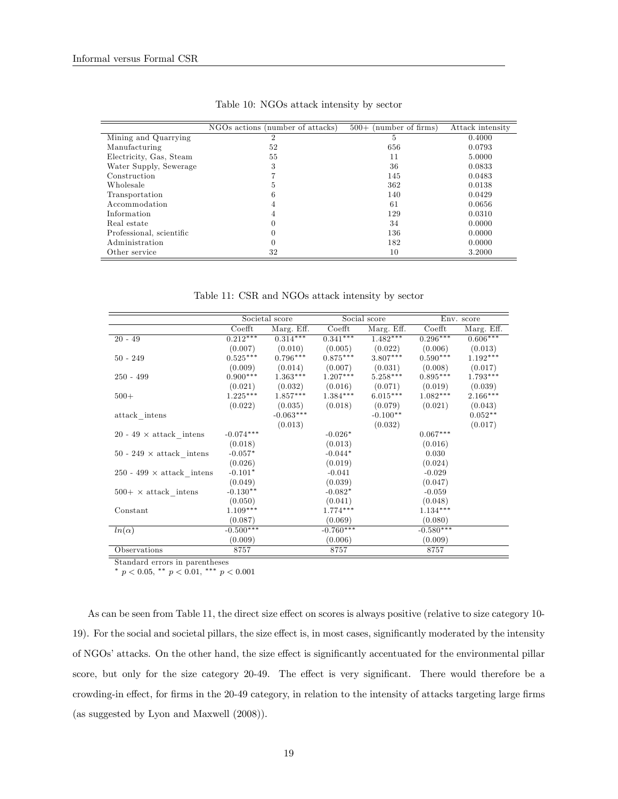|                          | NGOs actions (number of attacks) | (number of firms)<br>$500+$ | Attack intensity |
|--------------------------|----------------------------------|-----------------------------|------------------|
| Mining and Quarrying     | 2                                | 5                           | 0.4000           |
| Manufacturing            | 52                               | 656                         | 0.0793           |
| Electricity, Gas, Steam  | 55                               | 11                          | 5.0000           |
| Water Supply, Sewerage   | 3                                | 36                          | 0.0833           |
| Construction             |                                  | 145                         | 0.0483           |
| Wholesale                | Ð.                               | 362                         | 0.0138           |
| Transportation           |                                  | 140                         | 0.0429           |
| Accommodation            | 4                                | 61                          | 0.0656           |
| Information              |                                  | 129                         | 0.0310           |
| Real estate              |                                  | 34                          | 0.0000           |
| Professional, scientific |                                  | 136                         | 0.0000           |
| Administration           |                                  | 182                         | 0.0000           |
| Other service            | 32                               | 10                          | 3.2000           |

Table 10: NGOs attack intensity by sector

Table 11: CSR and NGOs attack intensity by sector

|                                  |                   | Societal score |             | Social score | Env. score  |            |
|----------------------------------|-------------------|----------------|-------------|--------------|-------------|------------|
|                                  | $\mathrm{Coefft}$ | Marg. Eff.     | Coefft      | Marg. Eff.   | Coefft      | Marg. Eff. |
| $20 - 49$                        | $0.212***$        | $0.314***$     | $0.341***$  | $1.482***$   | $0.296***$  | $0.606***$ |
|                                  | (0.007)           | (0.010)        | (0.005)     | (0.022)      | (0.006)     | (0.013)    |
| $50 - 249$                       | $0.525***$        | $0.796***$     | $0.875***$  | 3.807***     | $0.590***$  | $1.192***$ |
|                                  | (0.009)           | (0.014)        | (0.007)     | (0.031)      | (0.008)     | (0.017)    |
| $250 - 499$                      | $0.900***$        | $1.363***$     | $1.207***$  | $5.258***$   | $0.895***$  | $1.793***$ |
|                                  | (0.021)           | (0.032)        | (0.016)     | (0.071)      | (0.019)     | (0.039)    |
| $500+$                           | $1.225***$        | $1.857***$     | $1.384***$  | $6.015***$   | $1.082***$  | $2.166***$ |
|                                  | (0.022)           | (0.035)        | (0.018)     | (0.079)      | (0.021)     | (0.043)    |
| attack intens                    |                   | $-0.063***$    |             | $-0.100**$   |             | $0.052**$  |
|                                  |                   | (0.013)        |             | (0.032)      |             | (0.017)    |
| 20 - 49 $\times$ attack intens   | $-0.074***$       |                | $-0.026*$   |              | $0.067***$  |            |
|                                  | (0.018)           |                | (0.013)     |              | (0.016)     |            |
| 50 - 249 $\times$ attack intens  | $-0.057*$         |                | $-0.044*$   |              | 0.030       |            |
|                                  | (0.026)           |                | (0.019)     |              | (0.024)     |            |
| 250 - 499 $\times$ attack intens | $-0.101*$         |                | $-0.041$    |              | $-0.029$    |            |
|                                  | (0.049)           |                | (0.039)     |              | (0.047)     |            |
| $500+ \times$ attack intens      | $-0.130**$        |                | $-0.082*$   |              | $-0.059$    |            |
|                                  | (0.050)           |                | (0.041)     |              | (0.048)     |            |
| Constant                         | $1.109***$        |                | $1.774***$  |              | $1.134***$  |            |
|                                  | (0.087)           |                | (0.069)     |              | (0.080)     |            |
| $ln(\alpha)$                     | $-0.500***$       |                | $-0.760***$ |              | $-0.580***$ |            |
|                                  | (0.009)           |                | (0.006)     |              | (0.009)     |            |
| Observations                     | 8757              |                | 8757        |              | 8757        |            |

Standard errors in parentheses

\*  $p < 0.05$ , \*\*  $p < 0.01$ , \*\*\*  $p < 0.001$ 

As can be seen from Table 11, the direct size effect on scores is always positive (relative to size category 10-19). For the social and societal pillars, the size effect is, in most cases, significantly moderated by the intensity of NGOs' attacks. On the other hand, the size effect is significantly accentuated for the environmental pillar score, but only for the size category 20-49. The effect is very significant. There would therefore be a crowding-in effect, for firms in the 20-49 category, in relation to the intensity of attacks targeting large firms (as suggested by Lyon and Maxwell (2008)).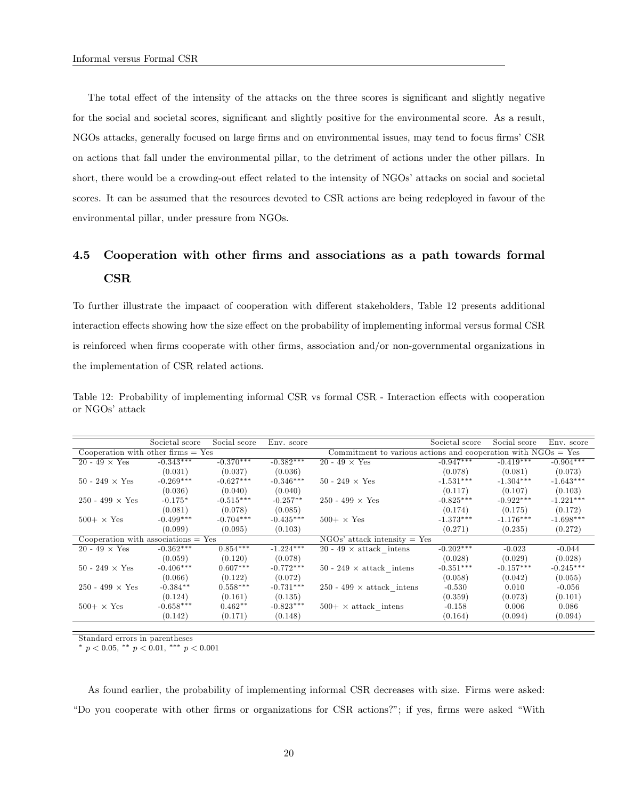The total effect of the intensity of the attacks on the three scores is significant and slightly negative for the social and societal scores, significant and slightly positive for the environmental score. As a result, NGOs attacks, generally focused on large firms and on environmental issues, may tend to focus firms' CSR on actions that fall under the environmental pillar, to the detriment of actions under the other pillars. In short, there would be a crowding-out effect related to the intensity of NGOs' attacks on social and societal scores. It can be assumed that the resources devoted to CSR actions are being redeployed in favour of the environmental pillar, under pressure from NGOs.

# 4.5 Cooperation with other Örms and associations as a path towards formal **CSR**

To further illustrate the impaact of cooperation with different stakeholders, Table 12 presents additional interaction effects showing how the size effect on the probability of implementing informal versus formal CSR is reinforced when firms cooperate with other firms, association and/or non-governmental organizations in the implementation of CSR related actions.

|                                       | Societal score | Social score | Env. score  |                                                                 | Societal score | Social score | Env. score  |
|---------------------------------------|----------------|--------------|-------------|-----------------------------------------------------------------|----------------|--------------|-------------|
| Cooperation with other firms $=$ Yes  |                |              |             | Commitment to various actions and cooperation with $NGOs = Yes$ |                |              |             |
| 20 - 49 $\times$ Yes                  | $-0.343***$    | $-0.370***$  | $-0.382***$ | 20 - 49 $\times$ Yes                                            | $-0.947***$    | $-0.419***$  | $-0.904***$ |
|                                       | (0.031)        | (0.037)      | (0.036)     |                                                                 | (0.078)        | (0.081)      | (0.073)     |
| $50 - 249 \times Yes$                 | $-0.269***$    | $-0.627***$  | $-0.346***$ | $50 - 249 \times Yes$                                           | $-1.531***$    | $-1.304***$  | $-1.643***$ |
|                                       | (0.036)        | (0.040)      | (0.040)     |                                                                 | (0.117)        | (0.107)      | (0.103)     |
| 250 - 499 $\times$ Yes                | $-0.175*$      | $-0.515***$  | $-0.257**$  | 250 - 499 $\times$ Yes                                          | $-0.825***$    | $-0.922***$  | $-1.221***$ |
|                                       | (0.081)        | (0.078)      | (0.085)     |                                                                 | (0.174)        | (0.175)      | (0.172)     |
| $500 + \times \text{Yes}$             | $-0.499***$    | $-0.704***$  | $-0.435***$ | $500 + \times \text{Yes}$                                       | $-1.373***$    | $-1.176***$  | $-1.698***$ |
|                                       | (0.099)        | (0.095)      | (0.103)     |                                                                 | (0.271)        | (0.235)      | (0.272)     |
| Cooperation with associations $=$ Yes |                |              |             | $NGOs' attack intensity = Yes$                                  |                |              |             |
| $20 - 49 \times Yes$                  | $-0.362***$    | $0.854***$   | $-1.224***$ | 20 - 49 $\times$ attack intens                                  | $-0.202***$    | $-0.023$     | $-0.044$    |
|                                       | (0.059)        | (0.120)      | (0.078)     |                                                                 | (0.028)        | (0.029)      | (0.028)     |
| $50 - 249 \times Yes$                 | $-0.406***$    | $0.607***$   | $-0.772***$ | 50 - 249 $\times$ attack intens                                 | $-0.351***$    | $-0.157***$  | $-0.245***$ |
|                                       | (0.066)        | (0.122)      | (0.072)     |                                                                 | (0.058)        | (0.042)      | (0.055)     |
| 250 - 499 $\times$ Yes                | $-0.384**$     | $0.558***$   | $-0.731***$ | 250 - 499 $\times$ attack intens                                | $-0.530$       | 0.010        | $-0.056$    |
|                                       | (0.124)        | (0.161)      | (0.135)     |                                                                 | (0.359)        | (0.073)      | (0.101)     |
| $500 + \times \text{Yes}$             | $-0.658***$    | $0.462**$    | $-0.823***$ | $500+ \times$ attack intens                                     | $-0.158$       | 0.006        | 0.086       |
|                                       | (0.142)        | (0.171)      | (0.148)     |                                                                 | (0.164)        | (0.094)      | (0.094)     |

Table 12: Probability of implementing informal CSR vs formal CSR - Interaction effects with cooperation or  $NGOs'$  attack

Standard errors in parentheses

\*  $p < 0.05$ , \*\*  $p < 0.01$ , \*\*\*  $p < 0.001$ 

As found earlier, the probability of implementing informal CSR decreases with size. Firms were asked: "Do you cooperate with other firms or organizations for CSR actions?"; if yes, firms were asked "With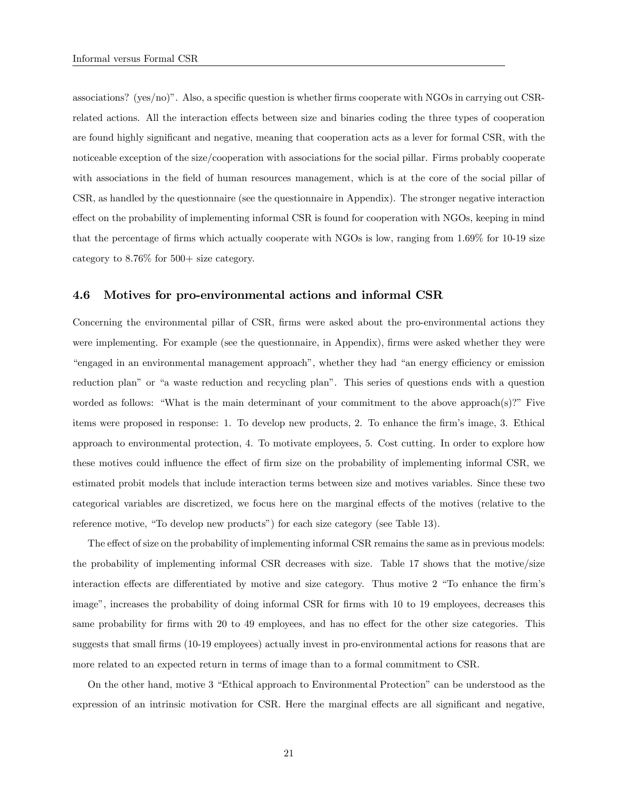associations? ( $\text{ves/no}$ )". Also, a specific question is whether firms cooperate with NGOs in carrying out CSRrelated actions. All the interaction effects between size and binaries coding the three types of cooperation are found highly significant and negative, meaning that cooperation acts as a lever for formal CSR, with the noticeable exception of the size/cooperation with associations for the social pillar. Firms probably cooperate with associations in the field of human resources management, which is at the core of the social pillar of CSR, as handled by the questionnaire (see the questionnaire in Appendix). The stronger negative interaction effect on the probability of implementing informal CSR is found for cooperation with NGOs, keeping in mind that the percentage of firms which actually cooperate with NGOs is low, ranging from 1.69% for 10-19 size category to  $8.76\%$  for  $500+$  size category.

#### 4.6 Motives for pro-environmental actions and informal CSR

Concerning the environmental pillar of CSR, firms were asked about the pro-environmental actions they were implementing. For example (see the questionnaire, in Appendix), firms were asked whether they were ìengaged in an environmental management approachî, whether they had ìan energy e¢ ciency or emission reduction plan" or "a waste reduction and recycling plan". This series of questions ends with a question worded as follows: "What is the main determinant of your commitment to the above approach(s)?" Five items were proposed in response: 1. To develop new products, 2. To enhance the firm's image, 3. Ethical approach to environmental protection, 4. To motivate employees, 5. Cost cutting. In order to explore how these motives could influence the effect of firm size on the probability of implementing informal CSR, we estimated probit models that include interaction terms between size and motives variables. Since these two categorical variables are discretized, we focus here on the marginal effects of the motives (relative to the reference motive, "To develop new products") for each size category (see Table 13).

The effect of size on the probability of implementing informal CSR remains the same as in previous models: the probability of implementing informal CSR decreases with size. Table 17 shows that the motive/size interaction effects are differentiated by motive and size category. Thus motive 2 "To enhance the firm's image", increases the probability of doing informal CSR for firms with 10 to 19 employees, decreases this same probability for firms with 20 to 49 employees, and has no effect for the other size categories. This suggests that small firms (10-19 employees) actually invest in pro-environmental actions for reasons that are more related to an expected return in terms of image than to a formal commitment to CSR.

On the other hand, motive 3 "Ethical approach to Environmental Protection" can be understood as the expression of an intrinsic motivation for CSR. Here the marginal effects are all significant and negative,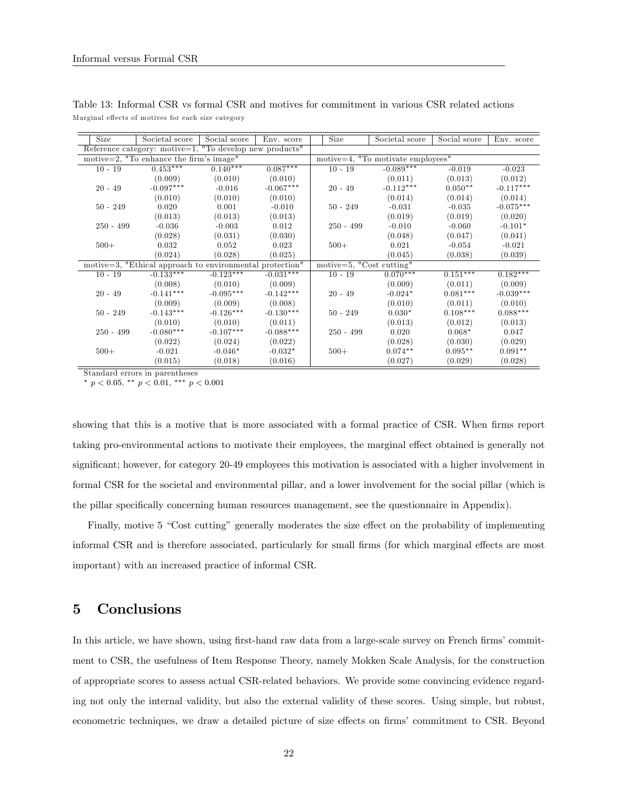| Size        | Societal score                                           | Social score | Env. score  | Size                                         | Societal score                      | Social score | Env. score  |
|-------------|----------------------------------------------------------|--------------|-------------|----------------------------------------------|-------------------------------------|--------------|-------------|
|             | Reference category: motive=1, "To develop new products"  |              |             |                                              |                                     |              |             |
|             | motive=2, "To enhance the firm's image"                  |              |             |                                              | motive=4, $"To motivate employees"$ |              |             |
| $10 - 19$   | $0.453***$                                               | $0.140***$   | $0.087***$  | $10 - 19$                                    | $-0.089***$                         | $-0.019$     | $-0.023$    |
|             | (0.009)                                                  | (0.010)      | (0.010)     |                                              | (0.011)                             | (0.013)      | (0.012)     |
| $20 - 49$   | $-0.097***$                                              | $-0.016$     | $-0.067***$ | $20 - 49$                                    | $-0.112***$                         | $0.050**$    | $-0.117***$ |
|             | (0.010)                                                  | (0.010)      | (0.010)     |                                              | (0.014)                             | (0.014)      | (0.014)     |
| $50 - 249$  | 0.020                                                    | 0.001        | $-0.010$    | $50 - 249$                                   | $-0.031$                            | $-0.035$     | $-0.075***$ |
|             | (0.013)                                                  | (0.013)      | (0.013)     |                                              | (0.019)                             | (0.019)      | (0.020)     |
| $250 - 499$ | $-0.036$                                                 | $-0.003$     | 0.012       | $250 - 499$                                  | $-0.010$                            | $-0.060$     | $-0.101*$   |
|             | (0.028)                                                  | (0.031)      | (0.030)     |                                              | (0.048)                             | (0.047)      | (0.041)     |
| $500+$      | 0.032                                                    | 0.052        | 0.023       | $500+$                                       | 0.021                               | $-0.054$     | $-0.021$    |
|             | (0.024)                                                  | (0.028)      | (0.025)     |                                              | (0.045)                             | (0.038)      | (0.039)     |
|             | motive=3, "Ethical approach to environmental protection" |              |             | motive=5, $\overline{\text{Cost cutting}}$ " |                                     |              |             |
| $10 - 19$   | $-0.133***$                                              | $-0.123***$  | $-0.031***$ | $10 - 19$                                    | $0.070***$                          | $0.151***$   | $0.182***$  |
|             | (0.008)                                                  | (0.010)      | (0.009)     |                                              | (0.009)                             | (0.011)      | (0.009)     |
| $20 - 49$   | $-0.141***$                                              | $-0.095***$  | $-0.142***$ | $20 - 49$                                    | $-0.024*$                           | $0.081***$   | $-0.039***$ |
|             | (0.009)                                                  | (0.009)      | (0.008)     |                                              | (0.010)                             | (0.011)      | (0.010)     |
| $50 - 249$  | $-0.143***$                                              | $-0.126***$  | $-0.130***$ | $50 - 249$                                   | $0.030*$                            | $0.108***$   | $0.088***$  |
|             | (0.010)                                                  | (0.010)      | (0.011)     |                                              | (0.013)                             | (0.012)      | (0.013)     |
| $250 - 499$ | $-0.080***$                                              | $-0.107***$  | $-0.088***$ | $250 - 499$                                  | 0.020                               | $0.068*$     | 0.047       |
|             | (0.022)                                                  | (0.024)      | (0.022)     |                                              | (0.028)                             | (0.030)      | (0.029)     |
| $500+$      | $-0.021$                                                 | $-0.046*$    | $-0.032*$   | $500+$                                       | $0.074**$                           | $0.095**$    | $0.091**$   |
|             | (0.015)                                                  | (0.018)      | (0.016)     |                                              | (0.027)                             | (0.029)      | (0.028)     |

Table 13: Informal CSR vs formal CSR and motives for commitment in various CSR related actions Marginal effects of motives for each size category

Standard errors in parentheses

\*  $p < 0.05$ , \*\*  $p < 0.01$ , \*\*\*  $p < 0.001$ 

showing that this is a motive that is more associated with a formal practice of CSR. When firms report taking pro-environmental actions to motivate their employees, the marginal effect obtained is generally not significant; however, for category 20-49 employees this motivation is associated with a higher involvement in formal CSR for the societal and environmental pillar, and a lower involvement for the social pillar (which is the pillar specifically concerning human resources management, see the questionnaire in Appendix).

Finally, motive 5 "Cost cutting" generally moderates the size effect on the probability of implementing informal CSR and is therefore associated, particularly for small firms (for which marginal effects are most important) with an increased practice of informal CSR.

## 5 Conclusions

In this article, we have shown, using first-hand raw data from a large-scale survey on French firms' commitment to CSR, the usefulness of Item Response Theory, namely Mokken Scale Analysis, for the construction of appropriate scores to assess actual CSR-related behaviors. We provide some convincing evidence regarding not only the internal validity, but also the external validity of these scores. Using simple, but robust, econometric techniques, we draw a detailed picture of size effects on firms' commitment to CSR. Beyond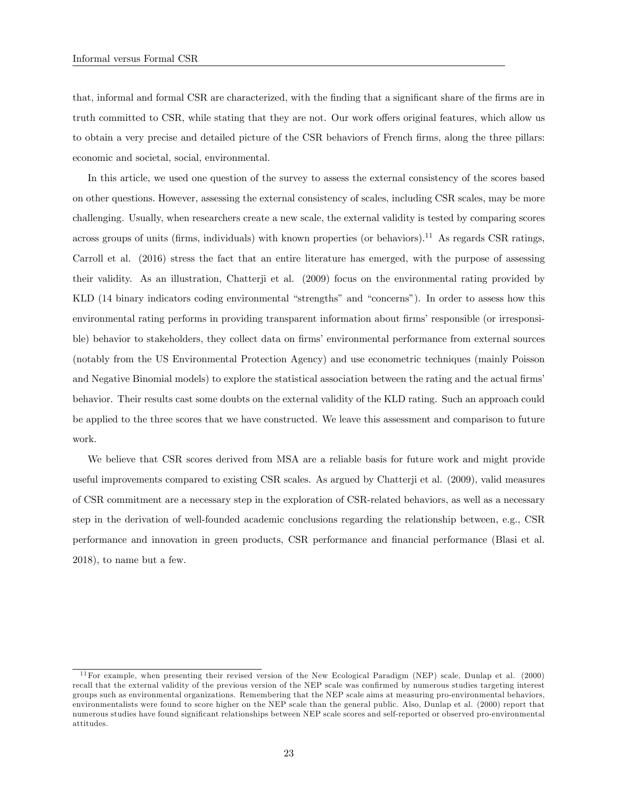that, informal and formal CSR are characterized, with the finding that a significant share of the firms are in truth committed to CSR, while stating that they are not. Our work offers original features, which allow us to obtain a very precise and detailed picture of the CSR behaviors of French firms, along the three pillars: economic and societal, social, environmental.

In this article, we used one question of the survey to assess the external consistency of the scores based on other questions. However, assessing the external consistency of scales, including CSR scales, may be more challenging. Usually, when researchers create a new scale, the external validity is tested by comparing scores across groups of units (firms, individuals) with known properties (or behaviors).<sup>11</sup> As regards CSR ratings, Carroll et al. (2016) stress the fact that an entire literature has emerged, with the purpose of assessing their validity. As an illustration, Chatterji et al. (2009) focus on the environmental rating provided by KLD (14 binary indicators coding environmental "strengths" and "concerns"). In order to assess how this environmental rating performs in providing transparent information about firms' responsible (or irresponsible) behavior to stakeholders, they collect data on firms' environmental performance from external sources (notably from the US Environmental Protection Agency) and use econometric techniques (mainly Poisson and Negative Binomial models) to explore the statistical association between the rating and the actual firms' behavior. Their results cast some doubts on the external validity of the KLD rating. Such an approach could be applied to the three scores that we have constructed. We leave this assessment and comparison to future work.

We believe that CSR scores derived from MSA are a reliable basis for future work and might provide useful improvements compared to existing CSR scales. As argued by Chatterji et al. (2009), valid measures of CSR commitment are a necessary step in the exploration of CSR-related behaviors, as well as a necessary step in the derivation of well-founded academic conclusions regarding the relationship between, e.g., CSR performance and innovation in green products, CSR performance and Önancial performance (Blasi et al. 2018), to name but a few.

 $11$  For example, when presenting their revised version of the New Ecological Paradigm (NEP) scale, Dunlap et al. (2000) recall that the external validity of the previous version of the NEP scale was confirmed by numerous studies targeting interest groups such as environmental organizations. Remembering that the NEP scale aims at measuring pro-environmental behaviors, environmentalists were found to score higher on the NEP scale than the general public. Also, Dunlap et al. (2000) report that numerous studies have found significant relationships between NEP scale scores and self-reported or observed pro-environmental attitudes.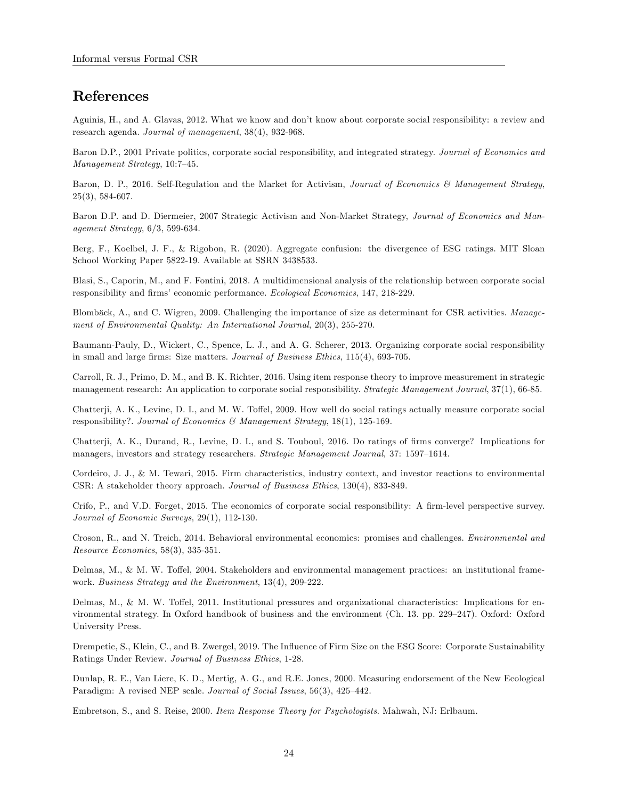## References

Aguinis, H., and A. Glavas, 2012. What we know and donít know about corporate social responsibility: a review and research agenda. Journal of management, 38(4), 932-968.

Baron D.P., 2001 Private politics, corporate social responsibility, and integrated strategy. Journal of Economics and  $Management Strategy, 10:7–45.$ 

Baron, D. P., 2016. Self-Regulation and the Market for Activism, Journal of Economics & Management Strategy, 25(3), 584-607.

Baron D.P. and D. Diermeier, 2007 Strategic Activism and Non-Market Strategy, Journal of Economics and Management Strategy, 6/3, 599-634.

Berg, F., Koelbel, J. F., & Rigobon, R. (2020). Aggregate confusion: the divergence of ESG ratings. MIT Sloan School Working Paper 5822-19. Available at SSRN 3438533.

Blasi, S., Caporin, M., and F. Fontini, 2018. A multidimensional analysis of the relationship between corporate social responsibility and firms' economic performance. Ecological Economics, 147, 218-229.

Blombäck, A., and C. Wigren, 2009. Challenging the importance of size as determinant for CSR activities. Management of Environmental Quality: An International Journal, 20(3), 255-270.

Baumann-Pauly, D., Wickert, C., Spence, L. J., and A. G. Scherer, 2013. Organizing corporate social responsibility in small and large firms: Size matters. Journal of Business Ethics, 115(4), 693-705.

Carroll, R. J., Primo, D. M., and B. K. Richter, 2016. Using item response theory to improve measurement in strategic management research: An application to corporate social responsibility. Strategic Management Journal, 37(1), 66-85.

Chatterji, A. K., Levine, D. I., and M. W. Toffel, 2009. How well do social ratings actually measure corporate social responsibility?. Journal of Economics & Management Strategy, 18(1), 125-169.

Chatterji, A. K., Durand, R., Levine, D. I., and S. Touboul, 2016. Do ratings of firms converge? Implications for managers, investors and strategy researchers. Strategic Management Journal, 37: 1597–1614.

Cordeiro, J. J., & M. Tewari, 2015. Firm characteristics, industry context, and investor reactions to environmental CSR: A stakeholder theory approach. Journal of Business Ethics, 130(4), 833-849.

Crifo, P., and V.D. Forget, 2015. The economics of corporate social responsibility: A firm-level perspective survey. Journal of Economic Surveys, 29(1), 112-130.

Croson, R., and N. Treich, 2014. Behavioral environmental economics: promises and challenges. Environmental and Resource Economics, 58(3), 335-351.

Delmas, M., & M. W. Toffel, 2004. Stakeholders and environmental management practices: an institutional framework. Business Strategy and the Environment, 13(4), 209-222.

Delmas, M., & M. W. Toffel, 2011. Institutional pressures and organizational characteristics: Implications for environmental strategy. In Oxford handbook of business and the environment (Ch. 13. pp. 229–247). Oxford: Oxford University Press.

Drempetic, S., Klein, C., and B. Zwergel, 2019. The Ináuence of Firm Size on the ESG Score: Corporate Sustainability Ratings Under Review. Journal of Business Ethics, 1-28.

Dunlap, R. E., Van Liere, K. D., Mertig, A. G., and R.E. Jones, 2000. Measuring endorsement of the New Ecological Paradigm: A revised NEP scale. Journal of Social Issues, 56(3), 425-442.

Embretson, S., and S. Reise, 2000. Item Response Theory for Psychologists. Mahwah, NJ: Erlbaum.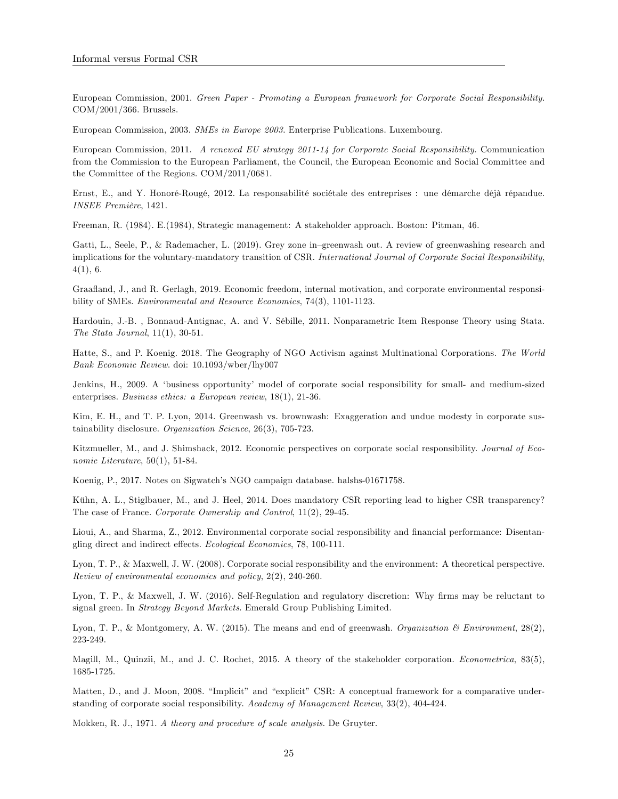European Commission, 2001. Green Paper - Promoting a European framework for Corporate Social Responsibility. COM/2001/366. Brussels.

European Commission, 2003. SMEs in Europe 2003. Enterprise Publications. Luxembourg.

European Commission, 2011. A renewed EU strategy 2011-14 for Corporate Social Responsibility. Communication from the Commission to the European Parliament, the Council, the European Economic and Social Committee and the Committee of the Regions. COM/2011/0681.

Ernst, E., and Y. Honoré-Rougé, 2012. La responsabilité sociétale des entreprises : une démarche déjà répandue. INSEE Première, 1421.

Freeman, R. (1984). E.(1984), Strategic management: A stakeholder approach. Boston: Pitman, 46.

Gatti, L., Seele, P., & Rademacher, L. (2019). Grey zone in–greenwash out. A review of greenwashing research and implications for the voluntary-mandatory transition of CSR. International Journal of Corporate Social Responsibility,  $4(1), 6.$ 

Graaáand, J., and R. Gerlagh, 2019. Economic freedom, internal motivation, and corporate environmental responsibility of SMEs. Environmental and Resource Economics, 74(3), 1101-1123.

Hardouin, J.-B. , Bonnaud-Antignac, A. and V. SÈbille, 2011. Nonparametric Item Response Theory using Stata. The Stata Journal, 11(1), 30-51.

Hatte, S., and P. Koenig. 2018. The Geography of NGO Activism against Multinational Corporations. The World Bank Economic Review. doi: 10.1093/wber/lhy007

Jenkins, H., 2009. A ëbusiness opportunityí model of corporate social responsibility for small- and medium-sized enterprises. Business ethics: a European review, 18(1), 21-36.

Kim, E. H., and T. P. Lyon, 2014. Greenwash vs. brownwash: Exaggeration and undue modesty in corporate sustainability disclosure. Organization Science, 26(3), 705-723.

Kitzmueller, M., and J. Shimshack, 2012. Economic perspectives on corporate social responsibility. Journal of Economic Literature, 50(1), 51-84.

Koenig, P., 2017. Notes on Sigwatch's NGO campaign database. halshs-01671758.

Kühn, A. L., Stiglbauer, M., and J. Heel, 2014. Does mandatory CSR reporting lead to higher CSR transparency? The case of France. Corporate Ownership and Control, 11(2), 29-45.

Lioui, A., and Sharma, Z., 2012. Environmental corporate social responsibility and financial performance: Disentangling direct and indirect effects. Ecological Economics, 78, 100-111.

Lyon, T. P., & Maxwell, J. W. (2008). Corporate social responsibility and the environment: A theoretical perspective. Review of environmental economics and policy, 2(2), 240-260.

Lyon, T. P., & Maxwell, J. W. (2016). Self-Regulation and regulatory discretion: Why firms may be reluctant to signal green. In Strategy Beyond Markets. Emerald Group Publishing Limited.

Lyon, T. P., & Montgomery, A. W. (2015). The means and end of greenwash. Organization  $\mathcal{B}$  Environment, 28(2), 223-249.

Magill, M., Quinzii, M., and J. C. Rochet, 2015. A theory of the stakeholder corporation. *Econometrica*, 83(5), 1685-1725.

Matten, D., and J. Moon, 2008. "Implicit" and "explicit" CSR: A conceptual framework for a comparative understanding of corporate social responsibility. Academy of Management Review, 33(2), 404-424.

Mokken, R. J., 1971. A theory and procedure of scale analysis. De Gruyter.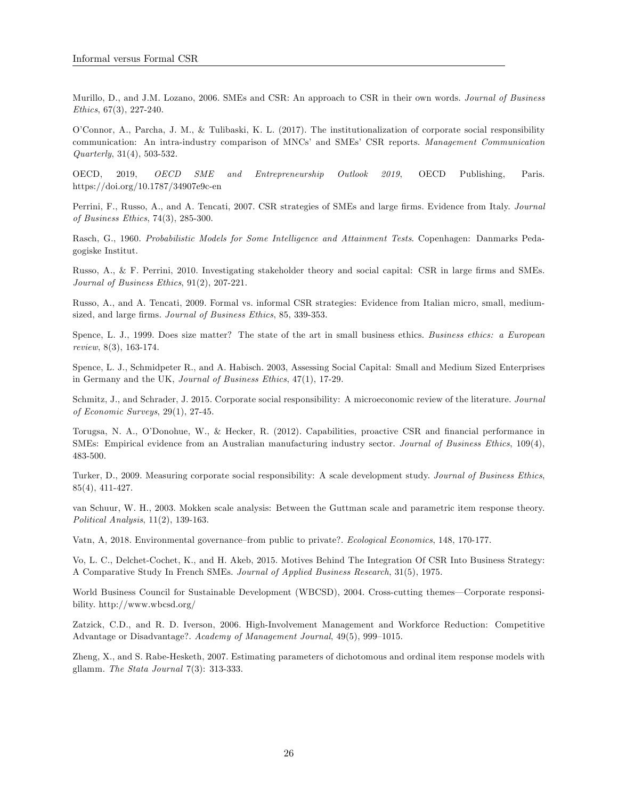Murillo, D., and J.M. Lozano, 2006. SMEs and CSR: An approach to CSR in their own words. Journal of Business Ethics, 67(3), 227-240.

OíConnor, A., Parcha, J. M., & Tulibaski, K. L. (2017). The institutionalization of corporate social responsibility communication: An intra-industry comparison of MNCs' and SMEs' CSR reports. Management Communication Quarterly, 31(4), 503-532.

OECD, 2019, OECD SME and Entrepreneurship Outlook 2019, OECD Publishing, Paris. https://doi.org/10.1787/34907e9c-en

Perrini, F., Russo, A., and A. Tencati, 2007. CSR strategies of SMEs and large firms. Evidence from Italy. Journal of Business Ethics, 74(3), 285-300.

Rasch, G., 1960. Probabilistic Models for Some Intelligence and Attainment Tests. Copenhagen: Danmarks Pedagogiske Institut.

Russo, A., & F. Perrini, 2010. Investigating stakeholder theory and social capital: CSR in large firms and SMEs. Journal of Business Ethics, 91(2), 207-221.

Russo, A., and A. Tencati, 2009. Formal vs. informal CSR strategies: Evidence from Italian micro, small, mediumsized, and large firms. Journal of Business Ethics, 85, 339-353.

Spence, L. J., 1999. Does size matter? The state of the art in small business ethics. Business ethics: a European review, 8(3), 163-174.

Spence, L. J., Schmidpeter R., and A. Habisch. 2003, Assessing Social Capital: Small and Medium Sized Enterprises in Germany and the UK, Journal of Business Ethics, 47(1), 17-29.

Schmitz, J., and Schrader, J. 2015. Corporate social responsibility: A microeconomic review of the literature. Journal of Economic Surveys, 29(1), 27-45.

Torugsa, N. A., O'Donohue, W., & Hecker, R. (2012). Capabilities, proactive CSR and financial performance in SMEs: Empirical evidence from an Australian manufacturing industry sector. Journal of Business Ethics, 109(4), 483-500.

Turker, D., 2009. Measuring corporate social responsibility: A scale development study. Journal of Business Ethics, 85(4), 411-427.

van Schuur, W. H., 2003. Mokken scale analysis: Between the Guttman scale and parametric item response theory. Political Analysis, 11(2), 139-163.

Vatn, A, 2018. Environmental governance-from public to private?. Ecological Economics, 148, 170-177.

Vo, L. C., Delchet-Cochet, K., and H. Akeb, 2015. Motives Behind The Integration Of CSR Into Business Strategy: A Comparative Study In French SMEs. Journal of Applied Business Research, 31(5), 1975.

World Business Council for Sustainable Development (WBCSD), 2004. Cross-cutting themes—Corporate responsibility. http://www.wbcsd.org/

Zatzick, C.D., and R. D. Iverson, 2006. High-Involvement Management and Workforce Reduction: Competitive Advantage or Disadvantage?.  $Academy$  of Management Journal,  $49(5)$ ,  $999-1015$ .

Zheng, X., and S. Rabe-Hesketh, 2007. Estimating parameters of dichotomous and ordinal item response models with gllamm. The Stata Journal 7(3): 313-333.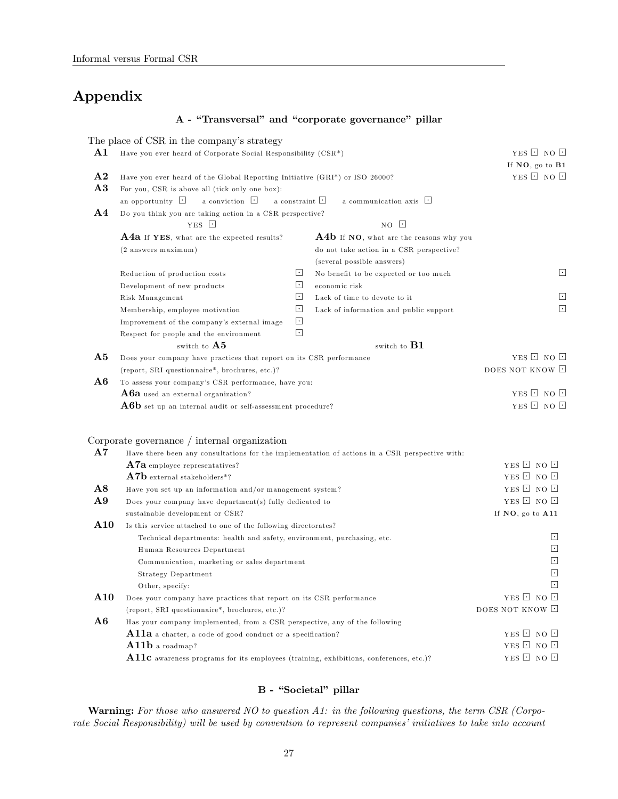## Appendix

#### A - "Transversal" and "corporate governance" pillar

The place of CSR in the company's strategy **A1** Have you ever heard of Corporate Social Responsibility (CSR\*) YES  $\Box$  NO  $\Box$ If NO, go to B1 **A2** Have you ever heard of the Global Reporting Initiative (GRI\*) or ISO 26000? YES  $\Box$  NO  $\Box$ A3 For you, CSR is above all (tick only one box): an opportunity  $\Box$  a conviction  $\Box$  a constraint  $\Box$  a communication axis  $\Box$ A4 Do you think you are taking action in a CSR perspective? YES  $\Box$  NO  $\Box$ **A4a** If YES, what are the expected results?  $\bf{A4b}$  If NO, what are the reasons why you (2 answers maximum) do not take action in a CSR perspective? (several possible answers) Reduction of production costs  $\Box$  No benefit to be expected or too much  $\Box$ Development of new products  $\Box$  economic risk Risk Management **L**<br>
Lack of time to devote to it Membership, employee motivation  $\square$  Lack of information and public support  $\square$ Improvement of the company's external image  $\Box$ Respect for people and the environment switch to  $\mathbf{A5}$  switch to  $\mathbf{B1}$ **A5** Does your company have practices that report on its CSR performance YES  $\Box$  NO  $\Box$ (report, SRI questionnaire\*, brochures, etc.)? DOES NOT KNOW  $\Box$ A6 To assess your company's CSR performance, have you: A6a used an external organization?<br> **A6b** set up an internal audit or self-assessment procedure?<br> **A6b** set up an internal audit or self-assessment procedure?<br>
YES  $\Box$  NO  $\Box$  $\bf{A6}b$  set up an internal audit or self-assessment procedure? Corporate governance / internal organization  $\bf{A7}$  Have there been any consultations for the implementation of actions in a CSR perspective with:  $\bf A7a$  employee representatives?  $\bf A7b$  external stakeholders\*?  $\bf YES \ \Box \ \ NO \ \Box$  $\begin{array}{ll}\n\textbf{A7b}\n\text{external stakeholders*?} & \text{YES }\square \text{ NO }\square\n\end{array}$  $\overline{A8}$  Have you set up an information and/or management system? **A9** Does your company have department(s) fully dedicated to YES  $\Box$  NO  $\Box$ sustainable development or  $CSR$ ? If  $\mathbf{NO}$ , go to  $\mathbf{A11}$ A10 Is this service attached to one of the following directorates? Technical departments: health and safety, environment, purchasing, etc.  $\Box$ <br>  $\Box$ <br>  $\Box$ <br>  $\Box$   $\Box$   $\Box$   $\Box$   $\Box$   $\Box$   $\Box$ Communication, m arketing or sales department Strategy Department  $\Box$ Other, specify:  $\Box$ **A10** Does your company have practices that report on its CSR performance YES  $\Box$  NO  $\Box$ (report, SRI questionnaire\*, brochures, etc.)? DOES NOT KNOW  $\Box$ A6 Has your company implemented, from a CSR perspective, any of the following **A11a** a charter, a code of good conduct or a specification? YES  $\Box$  NO  $\Box$ <br>**A11b** a roadman? YES  $\Box$  NO  $\Box$  $A11b$  a roadmap? **A11c** awareness programs for its employees (training, exhibitions, conferences, etc.)? YES  $\Box$  NO  $\Box$ 

#### B - "Societal" pillar

**Warning:** For those who answered NO to question A1: in the following questions, the term CSR (Corporate Social Responsibility) will be used by convention to represent companies' initiatives to take into account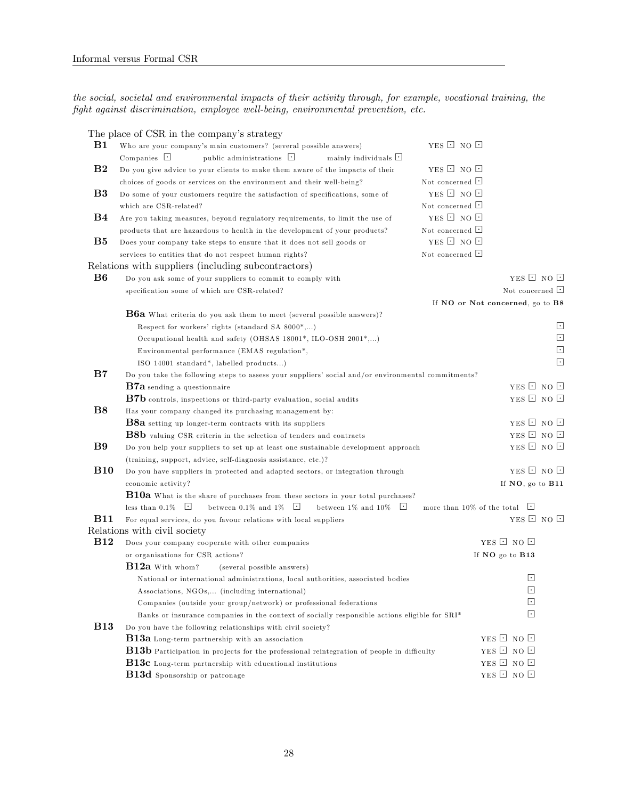the social, societal and environmental impacts of their activity through, for example, vocational training, the  $fight$  against discrimination, employee well-being, environmental prevention, etc.

|             | The place of CSR in the company's strategy                                                                |                                   |                          |        |
|-------------|-----------------------------------------------------------------------------------------------------------|-----------------------------------|--------------------------|--------|
| B1          | Who are your company's main customers? (several possible answers)                                         | YES E NO E                        |                          |        |
|             | Companies $\Box$<br>public administrations $\Box$<br>$minly$ individuals $\Box$                           |                                   |                          |        |
| $_{\rm B2}$ | Do you give advice to your clients to make them aware of the impacts of their                             | YES $\boxdot$ NO $\boxdot$        |                          |        |
|             | choices of goods or services on the environment and their well-being?                                     | Not concerned <b>L</b>            |                          |        |
| B3          | Do some of your customers require the satisfaction of specifications, some of                             | YES <b>D</b> NO <b>D</b>          |                          |        |
|             | which are CSR-related?                                                                                    | Not concerned $\Box$              |                          |        |
| B4          | Are you taking measures, beyond regulatory requirements, to limit the use of                              | YES <b>D</b> NO <b>D</b>          |                          |        |
|             | products that are hazardous to health in the development of your products?                                | Not concerned $\Box$              |                          |        |
| $_{\rm B5}$ | Does your company take steps to ensure that it does not sell goods or                                     | YES $\Box$ NO $\Box$              |                          |        |
|             | services to entities that do not respect human rights?                                                    | Not concerned $\Box$              |                          |        |
|             | Relations with suppliers (including subcontractors)                                                       |                                   |                          |        |
| B6          | Do you ask some of your suppliers to commit to comply with                                                |                                   | YES $\Box$ NO $\Box$     |        |
|             | specification some of which are CSR-related?                                                              |                                   | Not concerned $\Box$     |        |
|             |                                                                                                           | If NO or Not concerned, go to B8  |                          |        |
|             | B6a What criteria do you ask them to meet (several possible answers)?                                     |                                   |                          |        |
|             | Respect for workers' rights (standard SA 8000*,)                                                          |                                   |                          | u      |
|             | Occupational health and safety (OHSAS 18001*, ILO-OSH 2001*,)                                             |                                   |                          | $\Box$ |
|             | Environmental performance (EMAS regulation*,                                                              |                                   |                          | $\Box$ |
|             | ISO 14001 standard*, labelled products)                                                                   |                                   |                          | $\Box$ |
| $_{\rm B7}$ | Do you take the following steps to assess your suppliers' social and/or environmental commitments?        |                                   |                          |        |
|             | $\mathbf{B7a}$ sending a questionnaire                                                                    |                                   | YES <b>D</b> NO <b>D</b> |        |
|             | B7b controls, inspections or third-party evaluation, social audits                                        |                                   | YES <b>D</b> NO <b>D</b> |        |
| B8          | Has your company changed its purchasing management by:                                                    |                                   |                          |        |
|             | B8a setting up longer-term contracts with its suppliers                                                   |                                   | YES $\Box$ NO $\Box$     |        |
|             | B8b valuing CSR criteria in the selection of tenders and contracts                                        |                                   | YES <b>D</b> NO <b>D</b> |        |
| B9          | Do you help your suppliers to set up at least one sustainable development approach                        |                                   | YES <b>E</b> NO <b>E</b> |        |
|             | (training, support, advice, self-diagnosis assistance, etc.)?                                             |                                   |                          |        |
| <b>B10</b>  | Do you have suppliers in protected and adapted sectors, or integration through                            |                                   | YES $\Box$ NO $\Box$     |        |
|             | economic activity?                                                                                        |                                   | If NO, go to B11         |        |
|             | B10a What is the share of purchases from these sectors in your total purchases?                           |                                   |                          |        |
|             | less than $0.1\%$<br>between 0.1\% and 1\% $\Box$<br>between 1% and 10% $\quad \Box$                      | more than 10% of the total $\Box$ |                          |        |
| <b>B11</b>  | For equal services, do you favour relations with local suppliers                                          |                                   | YES $\Box$ NO $\Box$     |        |
|             | Relations with civil society                                                                              |                                   |                          |        |
| <b>B12</b>  | Does your company cooperate with other companies                                                          |                                   | YES <b>D</b> NO <b>D</b> |        |
|             | or organisations for CSR actions?                                                                         |                                   | If NO go to B13          |        |
|             | $B12a$ With whom?<br>(several possible answers)                                                           |                                   |                          |        |
|             | National or international administrations, local authorities, associated bodies                           |                                   | $\lceil \cdot \rceil$    |        |
|             | Associations, NGOs, (including international)                                                             |                                   | Ŀ                        |        |
|             | Companies (outside your group/network) or professional federations                                        |                                   | ⊡                        |        |
|             | Banks or insurance companies in the context of socially responsible actions eligible for $S\mathbb{R}I^*$ |                                   | $\lceil \cdot \rceil$    |        |
| <b>B13</b>  | Do you have the following relationships with civil society?                                               |                                   |                          |        |
|             | <b>B13a</b> Long-term partnership with an association                                                     |                                   | YES <b>D</b> NO <b>D</b> |        |
|             | B13b Participation in projects for the professional reintegration of people in difficulty                 |                                   | YES <b>D</b> NO <b>D</b> |        |
|             | B13c Long-term partnership with educational institutions                                                  |                                   | YES <b>D</b> NO <b>D</b> |        |
|             | <b>B13d</b> Sponsorship or patronage                                                                      |                                   | YES <b>D</b> NO <b>D</b> |        |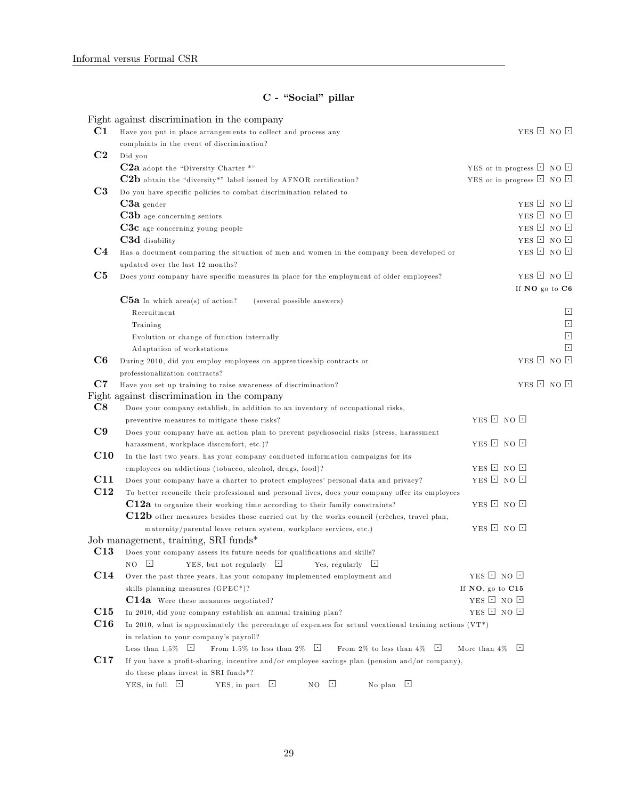## C - "Social" pillar

|                | Fight against discrimination in the company                                                               |                                     |                          |
|----------------|-----------------------------------------------------------------------------------------------------------|-------------------------------------|--------------------------|
| C1             | Have you put in place arrangements to collect and process any                                             |                                     | YES <b>E</b> NO <b>E</b> |
|                | complaints in the event of discrimination?                                                                |                                     |                          |
| C <sub>2</sub> | Did you                                                                                                   |                                     |                          |
|                | C2a adopt the "Diversity Charter *"                                                                       | YES or in progress $\Box$ NO $\Box$ |                          |
|                | C2b obtain the "diversity*" label issued by AFNOR certification?                                          | YES or in progress $\Box$ NO $\Box$ |                          |
| C <sub>3</sub> | Do you have specific policies to combat discrimination related to                                         |                                     |                          |
|                | $C3a$ gender                                                                                              |                                     | YES Q NO Q               |
|                | C3b age concerning seniors                                                                                |                                     | YES <b>D</b> NO <b>D</b> |
|                | $C3c$ age concerning young people                                                                         |                                     | YES Q NO Q               |
|                | C3d disability                                                                                            |                                     | YES Q NO Q               |
| C <sub>4</sub> | Has a document comparing the situation of men and women in the company been developed or                  |                                     | YES Q NO Q               |
|                | updated over the last 12 months?                                                                          |                                     |                          |
| C5             | Does your company have specific measures in place for the employment of older employees?                  |                                     | YES Q NO Q               |
|                |                                                                                                           | If NO go to C6                      |                          |
|                | $C5a$ In which area(s) of action?<br>(several possible answers)                                           |                                     |                          |
|                | Recruitment                                                                                               |                                     | Ŀ                        |
|                | Training                                                                                                  |                                     | $\overline{\phantom{a}}$ |
|                | Evolution or change of function internally                                                                |                                     | $\overline{\phantom{a}}$ |
|                | Adaptation of workstations                                                                                |                                     | $\lceil \cdot \rceil$    |
| C6             | During 2010, did you employ employees on apprenticeship contracts or                                      |                                     | YES $\Box$ NO $\Box$     |
|                | professionalization contracts?                                                                            |                                     |                          |
| C7             | Have you set up training to raise awareness of discrimination?                                            |                                     | YES $\Box$ NO $\Box$     |
|                | Fight against discrimination in the company                                                               |                                     |                          |
| $\bf C8$       | Does your company establish, in addition to an inventory of occupational risks,                           |                                     |                          |
|                | preventive measures to mitigate these risks?                                                              | YES <b>D</b> NO <b>D</b>            |                          |
| C9             | Does your company have an action plan to prevent psychosocial risks (stress, harassment                   |                                     |                          |
|                | harassment, workplace discomfort, etc.)?                                                                  | YES <b>D</b> NO <b>D</b>            |                          |
| C10            | In the last two years, has your company conducted information campaigns for its                           |                                     |                          |
|                | employees on addictions (tobacco, alcohol, drugs, food)?                                                  | YES $\Box$ NO $\Box$                |                          |
| C11            | Does your company have a charter to protect employees' personal data and privacy?                         | YES <b>D</b> NO <b>D</b>            |                          |
| C12            | To better reconcile their professional and personal lives, does your company offer its employees          |                                     |                          |
|                | C12a to organize their working time according to their family constraints?                                | YES <b>D</b> NO <b>D</b>            |                          |
|                | C12b other measures besides those carried out by the works council (crèches, travel plan,                 |                                     |                          |
|                | maternity/parental leave return system, workplace services, etc.)                                         | YES $\Box$ NO $\Box$                |                          |
|                | Job management, training, SRI funds*                                                                      |                                     |                          |
| C13            | Does your company assess its future needs for qualifications and skills?                                  |                                     |                          |
|                | $\lfloor \cdot \rfloor$<br>YES, but not regularly $\Box$<br>NO<br>Yes, regularly $\Box$                   |                                     |                          |
| C14            | Over the past three years, has your company implemented employment and                                    | YES <b>D</b> NO <b>D</b>            |                          |
|                | skills planning measures (GPEC*)?                                                                         | If NO, go to C15                    |                          |
|                | C14a Were these measures negotiated?                                                                      | YES E NO E                          |                          |
| C15            | In 2010, did your company establish an annual training plan?                                              | YES <b>D</b> NO <b>D</b>            |                          |
| C16            | In 2010, what is approximately the percentage of expenses for actual vocational training actions $(VT^*)$ |                                     |                          |
|                | in relation to your company's payroll?                                                                    |                                     |                          |
|                | Less than $1,5\%$ $\Box$<br>From 1.5% to less than 2% $\Box$<br>From 2% to less than 4% $\Box$            | More than $4\%$ $\Box$              |                          |
| C17            | If you have a profit-sharing, incentive and/or employee savings plan (pension and/or company),            |                                     |                          |
|                | do these plans invest in SRI funds*?                                                                      |                                     |                          |
|                | YES, in full $\lfloor \cdot \rfloor$<br>u<br>ロ<br>YES, in part<br>ロ<br>No plan<br>NΟ                      |                                     |                          |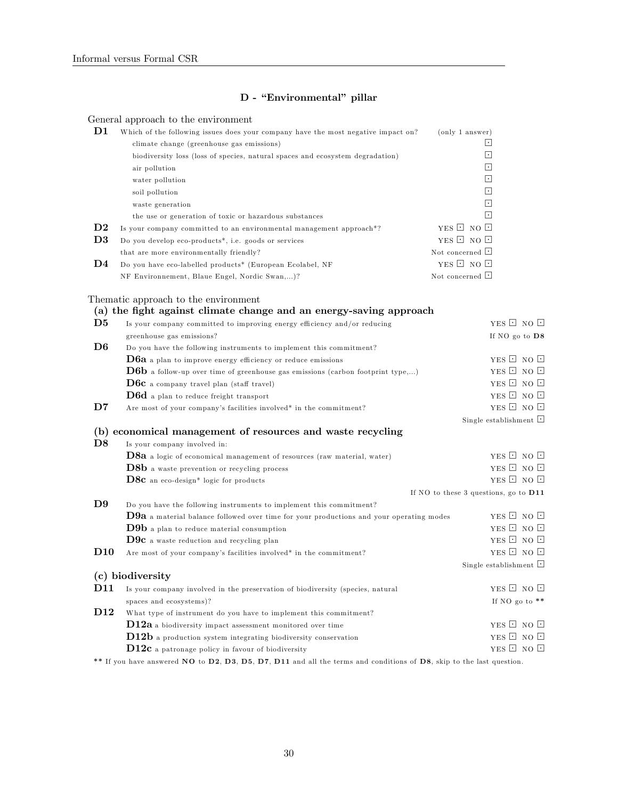## D - "Environmental" pillar

General approach to the environment

| $\mathbf{D1}$  | Which of the following issues does your company have the most negative impact on? | (only 1 answer)       |
|----------------|-----------------------------------------------------------------------------------|-----------------------|
|                | climate change (greenhouse gas emissions)                                         | $ \cdot $             |
|                | biodiversity loss (loss of species, natural spaces and ecosystem degradation)     | $ \cdot $             |
|                | air pollution                                                                     | $\lceil \cdot \rceil$ |
|                | water pollution                                                                   | $\lceil \cdot \rceil$ |
|                | soil pollution                                                                    | $\lceil \cdot \rceil$ |
|                | waste generation                                                                  | $\lceil \cdot \rceil$ |
|                | the use or generation of toxic or hazardous substances                            | $\lceil \cdot \rceil$ |
| $\mathbf{D2}$  | Is your company committed to an environmental management approach <sup>*?</sup>   | YES $\Box$ NO $\Box$  |
| D <sub>3</sub> | Do you develop eco-products <sup>*</sup> , i.e. goods or services                 | YES $\Box$ NO $\Box$  |
|                | that are more environmentally friendly?                                           | Not concerned $\Box$  |
| D4             | Do you have eco-labelled products <sup>*</sup> (European Ecolabel, NF             | YES $\Box$ NO $\Box$  |
|                | NF Environmement, Blaue Engel, Nordic Swan,)?                                     | Not concerned $\Box$  |

Thematic approach to the environment

|                 | (a) the fight against climate change and an energy-saving approach                             |                                       |
|-----------------|------------------------------------------------------------------------------------------------|---------------------------------------|
| D5              | Is your company committed to improving energy efficiency and/or reducing                       | YES $\Box$ NO $\Box$                  |
|                 | greenhouse gas emissions?                                                                      | If NO go to D8                        |
| D <sub>6</sub>  | Do you have the following instruments to implement this commitment?                            |                                       |
|                 | <b>D6a</b> a plan to improve energy efficiency or reduce emissions                             | YES <b>D</b> NO <b>D</b>              |
|                 | $\mathbf{D6b}$ a follow-up over time of greenhouse gas emissions (carbon footprint type,)      | YES <b>D</b> NO <b>D</b>              |
|                 | $\bf{D6c}$ a company travel plan (staff travel)                                                | YES <b>D</b> NO <b>D</b>              |
|                 | $\bf{D6}d$ a plan to reduce freight transport                                                  | YES $\Box$ NO $\Box$                  |
| $\mathbf{D7}$   | Are most of your company's facilities involved* in the commitment?                             | YES <b>D</b> NO <b>D</b>              |
|                 |                                                                                                | Single establishment $\Box$           |
|                 | (b) economical management of resources and waste recycling                                     |                                       |
| D8              | Is your company involved in:                                                                   |                                       |
|                 | D8a a logic of economical management of resources (raw material, water)                        | YES <b>D</b> NO <b>D</b>              |
|                 | $\mathbf{D}$ 8 $\mathbf{b}$ a waste prevention or recycling process                            | YES $\Box$ NO $\Box$                  |
|                 | <b>D8c</b> an eco-design* logic for products                                                   | YES $\Box$ NO $\Box$                  |
|                 |                                                                                                | If NO to these 3 questions, go to D11 |
| D9              | Do you have the following instruments to implement this commitment?                            |                                       |
|                 | <b>D9a</b> a material balance followed over time for your productions and your operating modes | YES $\Box$ NO $\Box$                  |
|                 | $\bf{D9b}$ a plan to reduce material consumption                                               | YES $\Box$ NO $\Box$                  |
|                 | $\bf{D9c}$ a waste reduction and recycling plan                                                | YES $\Box$ NO $\Box$                  |
| D <sub>10</sub> | Are most of your company's facilities involved* in the commitment?                             | YES <b>D</b> NO <b>D</b>              |
|                 |                                                                                                | Single establishment $\Box$           |
|                 | (c) biodiversity                                                                               |                                       |
| D <sub>11</sub> | Is your company involved in the preservation of biodiversity (species, natural                 | YES $\Box$ NO $\Box$                  |
|                 | spaces and ecosystems)?                                                                        | If NO go to $**$                      |
| D <sub>12</sub> | What type of instrument do you have to implement this commitment?                              |                                       |
|                 | $D12a$ a biodiversity impact assessment monitored over time                                    | YES $\Box$ NO $\Box$                  |
|                 | $D12b$ a production system integrating biodiversity conservation                               | YES $\Box$ NO $\Box$                  |
|                 | $D12c$ a patronage policy in favour of biodiversity                                            | YES <b>D</b> NO <b>D</b>              |

\*\* If you have answered  $\overline{NO}$  to  $\overline{D2}$ ,  $\overline{D3}$ ,  $\overline{D5}$ ,  $\overline{D7}$ ,  $\overline{D11}$  and all the terms and conditions of  $\overline{D8}$ , skip to the last question.